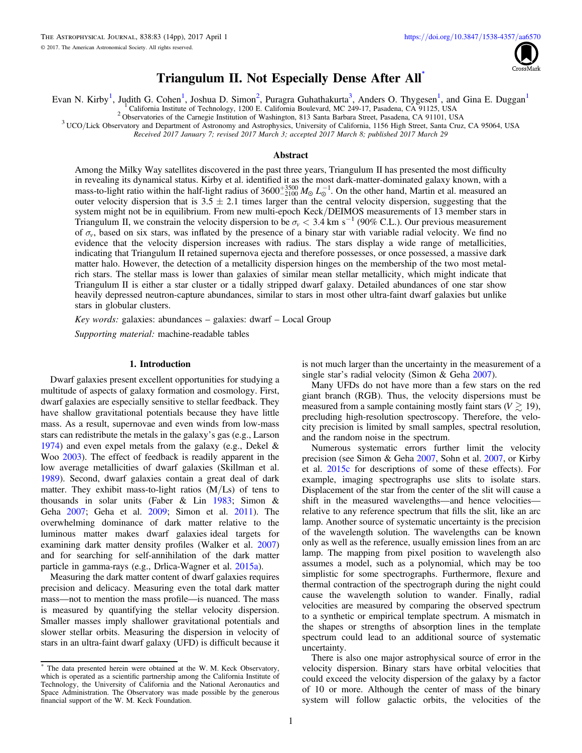

# Triangulum II. Not Especially Dense After All\*

Evan N. Kirby<sup>1</sup>, Judith G. Cohen<sup>1</sup>, Joshua D. Simon<sup>2</sup>, Puragra Guhathakurta<sup>3</sup>, Anders O. Thygesen<sup>1</sup>, and Gina E. Duggan<sup>1</sup>

<sup>1</sup> California Institute of Technology, 1200 E. California Boulevard, MC 249-17, Pasadena, CA 91125, USA<br><sup>2</sup> Observatories of the Carnegie Institution of Washington, 813 Santa Barbara Street, Pasadena, CA 91101, USA<br><sup>3</sup> UC

Received 2017 January 7; revised 2017 March 3; accepted 2017 March 8; published 2017 March 29

## Abstract

Among the Milky Way satellites discovered in the past three years, Triangulum II has presented the most difficulty in revealing its dynamical status. Kirby et al. identified it as the most dark-matter-dominated galaxy known, with a mass-to-light ratio within the half-light radius of  $3600^{+3500}_{-2100} M_{\odot} L_{\odot}^{-1}$ . On the other hand, Martin et al. measured an outer velocity dispersion that is  $3.5 \pm 2.1$  times larger than the central velocity dispersion, suggesting that the system might not be in equilibrium. From new multi-epoch Keck/DEIMOS measurements of 13 member stars in Triangulum II, we constrain the velocity dispersion to be  $\sigma_v < 3.4$  km s<sup>-1</sup> (90% C.L.). Our previous measurement of  $\sigma_v$ , based on six stars, was inflated by the presence of a binary star with variable radial velocity. We find no evidence that the velocity dispersion increases with radius. The stars display a wide range of metallicities, indicating that Triangulum II retained supernova ejecta and therefore possesses, or once possessed, a massive dark matter halo. However, the detection of a metallicity dispersion hinges on the membership of the two most metalrich stars. The stellar mass is lower than galaxies of similar mean stellar metallicity, which might indicate that Triangulum II is either a star cluster or a tidally stripped dwarf galaxy. Detailed abundances of one star show heavily depressed neutron-capture abundances, similar to stars in most other ultra-faint dwarf galaxies but unlike stars in globular clusters.

Key words: galaxies: abundances – galaxies: dwarf – Local Group

Supporting material: machine-readable tables

#### 1. Introduction

Dwarf galaxies present excellent opportunities for studying a multitude of aspects of galaxy formation and cosmology. First, dwarf galaxies are especially sensitive to stellar feedback. They have shallow gravitational potentials because they have little mass. As a result, supernovae and even winds from low-mass stars can redistribute the metals in the galaxy's gas (e.g., Larson [1974](#page-12-0)) and even expel metals from the galaxy (e.g., Dekel & Woo [2003](#page-12-0)). The effect of feedback is readily apparent in the low average metallicities of dwarf galaxies (Skillman et al. [1989](#page-13-0)). Second, dwarf galaxies contain a great deal of dark matter. They exhibit mass-to-light ratios  $(M/Ls)$  of tens to thousands in solar units (Faber & Lin [1983;](#page-12-0) Simon & Geha [2007](#page-13-0); Geha et al. [2009;](#page-12-0) Simon et al. [2011](#page-13-0)). The overwhelming dominance of dark matter relative to the luminous matter makes dwarf galaxies ideal targets for examining dark matter density profiles (Walker et al. [2007](#page-13-0)) and for searching for self-annihilation of the dark matter particle in gamma-rays (e.g., Drlica-Wagner et al. [2015a](#page-12-0)).

Measuring the dark matter content of dwarf galaxies requires precision and delicacy. Measuring even the total dark matter mass—not to mention the mass profile—is nuanced. The mass is measured by quantifying the stellar velocity dispersion. Smaller masses imply shallower gravitational potentials and slower stellar orbits. Measuring the dispersion in velocity of stars in an ultra-faint dwarf galaxy (UFD) is difficult because it is not much larger than the uncertainty in the measurement of a single star's radial velocity (Simon & Geha [2007](#page-13-0)).

Many UFDs do not have more than a few stars on the red giant branch (RGB). Thus, the velocity dispersions must be measured from a sample containing mostly faint stars ( $V \gtrsim 19$ ), precluding high-resolution spectroscopy. Therefore, the velocity precision is limited by small samples, spectral resolution, and the random noise in the spectrum.

Numerous systematic errors further limit the velocity precision (see Simon & Geha [2007](#page-13-0), Sohn et al. [2007](#page-13-0), or Kirby et al. [2015c](#page-12-0) for descriptions of some of these effects). For example, imaging spectrographs use slits to isolate stars. Displacement of the star from the center of the slit will cause a shift in the measured wavelengths—and hence velocities relative to any reference spectrum that fills the slit, like an arc lamp. Another source of systematic uncertainty is the precision of the wavelength solution. The wavelengths can be known only as well as the reference, usually emission lines from an arc lamp. The mapping from pixel position to wavelength also assumes a model, such as a polynomial, which may be too simplistic for some spectrographs. Furthermore, flexure and thermal contraction of the spectrograph during the night could cause the wavelength solution to wander. Finally, radial velocities are measured by comparing the observed spectrum to a synthetic or empirical template spectrum. A mismatch in the shapes or strengths of absorption lines in the template spectrum could lead to an additional source of systematic uncertainty.

There is also one major astrophysical source of error in the velocity dispersion. Binary stars have orbital velocities that could exceed the velocity dispersion of the galaxy by a factor of 10 or more. Although the center of mass of the binary system will follow galactic orbits, the velocities of the

The data presented herein were obtained at the W. M. Keck Observatory, which is operated as a scientific partnership among the California Institute of Technology, the University of California and the National Aeronautics and Space Administration. The Observatory was made possible by the generous financial support of the W. M. Keck Foundation.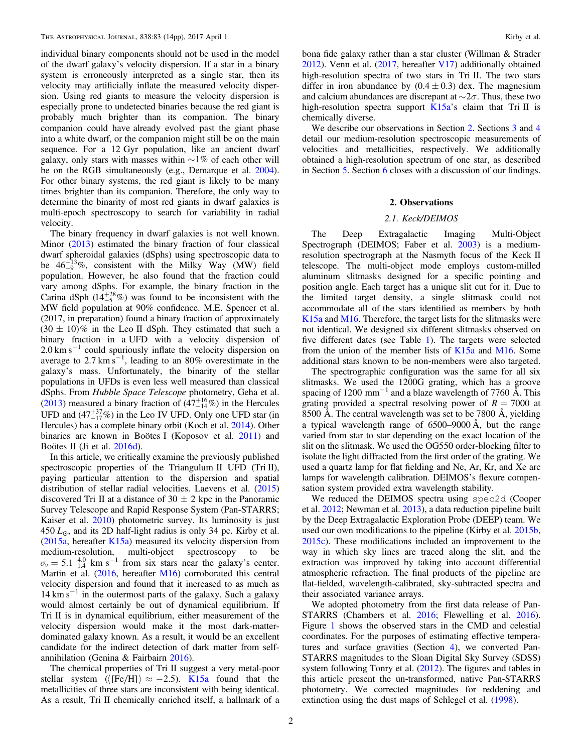individual binary components should not be used in the model of the dwarf galaxy's velocity dispersion. If a star in a binary system is erroneously interpreted as a single star, then its velocity may artificially inflate the measured velocity dispersion. Using red giants to measure the velocity dispersion is especially prone to undetected binaries because the red giant is probably much brighter than its companion. The binary companion could have already evolved past the giant phase into a white dwarf, or the companion might still be on the main sequence. For a 12 Gyr population, like an ancient dwarf galaxy, only stars with masses within  $\sim$ 1% of each other will be on the RGB simultaneously (e.g., Demarque et al. [2004](#page-12-0)). For other binary systems, the red giant is likely to be many times brighter than its companion. Therefore, the only way to determine the binarity of most red giants in dwarf galaxies is multi-epoch spectroscopy to search for variability in radial velocity.

The binary frequency in dwarf galaxies is not well known. Minor ([2013](#page-13-0)) estimated the binary fraction of four classical dwarf spheroidal galaxies (dSphs) using spectroscopic data to be  $46\frac{1}{9}\%$ , consistent with the Milky Way (MW) field population. However, he also found that the fraction could vary among dSphs. For example, the binary fraction in the Carina dSph  $(14\frac{+28}{5}\%)$  was found to be inconsistent with the MW field population at 90% confidence. M.E. Spencer et al. (2017, in preparation) found a binary fraction of approximately  $(30 \pm 10)\%$  in the Leo II dSph. They estimated that such a binary fraction in a UFD with a velocity dispersion of  $2.0 \text{ km s}^{-1}$  could spuriously inflate the velocity dispersion on average to 2.7 km s<sup>-1</sup>, leading to an 80% overestimate in the galaxy's mass. Unfortunately, the binarity of the stellar populations in UFDs is even less well measured than classical dSphs. From Hubble Space Telescope photometry, Geha et al. ([2013](#page-12-0)) measured a binary fraction of  $(47^{+16}_{-14}\%)$  in the Hercules UFD and  $(47^{+37}_{-17}\%)$  in the Leo IV UFD. Only one UFD star (in Hercules) has a complete binary orbit (Koch et al. [2014](#page-12-0)). Other binaries are known in Boötes I (Koposov et al. [2011](#page-12-0)) and Boötes II (Ji et al. [2016d](#page-12-0)).

In this article, we critically examine the previously published spectroscopic properties of the Triangulum II UFD (Tri II), paying particular attention to the dispersion and spatial distribution of stellar radial velocities. Laevens et al. ([2015](#page-12-0)) discovered Tri II at a distance of  $30 \pm 2$  kpc in the Panoramic Survey Telescope and Rapid Response System (Pan-STARRS; Kaiser et al. [2010](#page-12-0)) photometric survey. Its luminosity is just  $450 L<sub>o</sub>$ , and its 2D half-light radius is only 34 pc. Kirby et al.  $(2015a, hereafter K15a) measured its velocity dispersion from$  $(2015a, hereafter K15a) measured its velocity dispersion from$  $(2015a, hereafter K15a) measured its velocity dispersion from$  $(2015a, hereafter K15a) measured its velocity dispersion from$  $(2015a, hereafter K15a) measured its velocity dispersion from$ medium-resolution, multi-object spectroscopy to be  $\sigma_{v} = 5.1^{+4.0}_{-1.4}$  km s<sup>-1</sup> from six stars near the galaxy's center. Martin et al. ([2016](#page-13-0), hereafter [M16](#page-13-0)) corroborated this central velocity dispersion and found that it increased to as much as  $14 \text{ km s}^{-1}$  in the outermost parts of the galaxy. Such a galaxy would almost certainly be out of dynamical equilibrium. If Tri II is in dynamical equilibrium, either measurement of the velocity dispersion would make it the most dark-matterdominated galaxy known. As a result, it would be an excellent candidate for the indirect detection of dark matter from selfannihilation (Genina & Fairbairn [2016](#page-12-0)).

The chemical properties of Tri II suggest a very metal-poor stellar system ( $\langle [Fe/H] \rangle \approx -2.5$ ). [K15a](#page-12-0) found that the metallicities of three stars are inconsistent with being identical. As a result, Tri II chemically enriched itself, a hallmark of a bona fide galaxy rather than a star cluster (Willman & Strader [2012](#page-13-0)). Venn et al. ([2017](#page-13-0), hereafter [V17](#page-13-0)) additionally obtained high-resolution spectra of two stars in Tri II. The two stars differ in iron abundance by  $(0.4 \pm 0.3)$  dex. The magnesium and calcium abundances are discrepant at  $\sim 2\sigma$ . Thus, these two high-resolution spectra support [K15a](#page-12-0)'s claim that Tri II is chemically diverse.

We describe our observations in Section 2. Sections [3](#page-2-0) and [4](#page-7-0) detail our medium-resolution spectroscopic measurements of velocities and metallicities, respectively. We additionally obtained a high-resolution spectrum of one star, as described in Section [5](#page-9-0). Section [6](#page-11-0) closes with a discussion of our findings.

## 2. Observations

# 2.1. Keck/DEIMOS

The Deep Extragalactic Imaging Multi-Object Spectrograph (DEIMOS; Faber et al. [2003](#page-12-0)) is a mediumresolution spectrograph at the Nasmyth focus of the Keck II telescope. The multi-object mode employs custom-milled aluminum slitmasks designed for a specific pointing and position angle. Each target has a unique slit cut for it. Due to the limited target density, a single slitmask could not accommodate all of the stars identified as members by both [K15a](#page-12-0) and [M16](#page-13-0). Therefore, the target lists for the slitmasks were not identical. We designed six different slitmasks observed on five different dates (see Table [1](#page-2-0)). The targets were selected from the union of the member lists of  $K15a$  and [M16](#page-13-0). Some additional stars known to be non-members were also targeted.

The spectrographic configuration was the same for all six slitmasks. We used the 1200G grating, which has a groove spacing of 1200 mm<sup> $-1$ </sup> and a blaze wavelength of 7760 Å. This grating provided a spectral resolving power of  $R = 7000$  at 8500 Å. The central wavelength was set to be 7800 Å, yielding a typical wavelength range of 6500–9000 Å, but the range varied from star to star depending on the exact location of the slit on the slitmask. We used the OG550 order-blocking filter to isolate the light diffracted from the first order of the grating. We used a quartz lamp for flat fielding and Ne, Ar, Kr, and Xe arc lamps for wavelength calibration. DEIMOS's flexure compensation system provided extra wavelength stability.

We reduced the DEIMOS spectra using spec2d (Cooper et al. [2012](#page-12-0); Newman et al. [2013](#page-13-0)), a data reduction pipeline built by the Deep Extragalactic Exploration Probe (DEEP) team. We used our own modifications to the pipeline (Kirby et al. [2015b](#page-12-0), [2015c](#page-12-0)). These modifications included an improvement to the way in which sky lines are traced along the slit, and the extraction was improved by taking into account differential atmospheric refraction. The final products of the pipeline are flat-fielded, wavelength-calibrated, sky-subtracted spectra and their associated variance arrays.

We adopted photometry from the first data release of Pan-STARRS (Chambers et al. [2016;](#page-12-0) Flewelling et al. [2016](#page-12-0)). Figure [1](#page-3-0) shows the observed stars in the CMD and celestial coordinates. For the purposes of estimating effective temperatures and surface gravities (Section [4](#page-7-0)), we converted Pan-STARRS magnitudes to the Sloan Digital Sky Survey (SDSS) system following Tonry et al. ([2012](#page-13-0)). The figures and tables in this article present the un-transformed, native Pan-STARRS photometry. We corrected magnitudes for reddening and extinction using the dust maps of Schlegel et al. ([1998](#page-13-0)).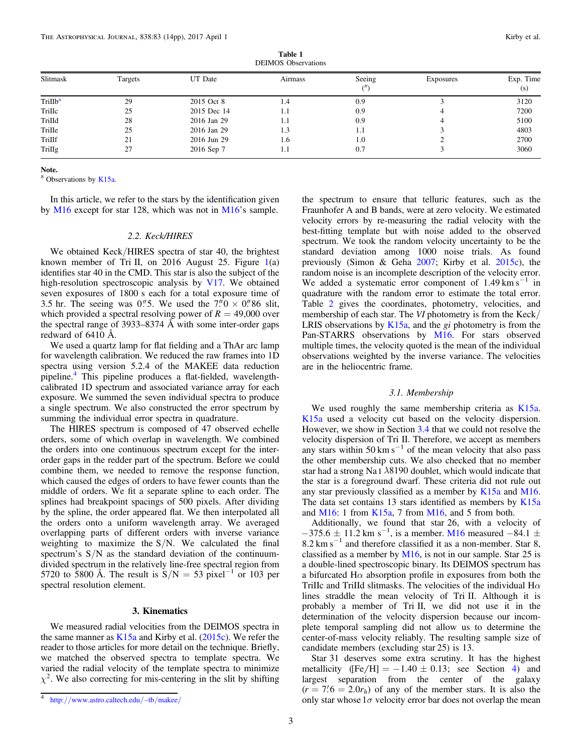| Table 1                    |  |  |  |  |  |  |
|----------------------------|--|--|--|--|--|--|
| <b>DEIMOS</b> Observations |  |  |  |  |  |  |

<span id="page-2-0"></span>

| Slitmask            | Targets | UT Date     | Airmass | Seeing | Exposures | Exp. Time |
|---------------------|---------|-------------|---------|--------|-----------|-----------|
|                     |         |             |         | $($ ") |           | (s)       |
| TriIIb <sup>a</sup> | 29      | 2015 Oct 8  | 1.4     | 0.9    |           | 3120      |
| TriIIc              | 25      | 2015 Dec 14 | 1.1     | 0.9    |           | 7200      |
| TriIId              | 28      | 2016 Jan 29 | 1.1     | 0.9    |           | 5100      |
| TriIIe              | 25      | 2016 Jan 29 | 1.3     | 1.1    |           | 4803      |
| TriIIf              | 21      | 2016 Jun 29 | 1.6     | 1.0    |           | 2700      |
| TriIIg              | 27      | 2016 Sep 7  | 1.1     | 0.7    |           | 3060      |

Note.

<sup>a</sup> Observations by [K15a.](#page-12-0)

In this article, we refer to the stars by the identification given by [M16](#page-13-0) except for star 128, which was not in [M16](#page-13-0)'s sample.

# 2.2. Keck/HIRES

We obtained Keck/HIRES spectra of star 40, the brightest known member of Tri II, on 20[1](#page-3-0)6 August 25. Figure  $1(a)$ identifies star 40 in the CMD. This star is also the subject of the high-resolution spectroscopic analysis by [V17](#page-13-0). We obtained seven exposures of 1800 s each for a total exposure time of 3.5 hr. The seeing was 0.75. We used the  $7.0 \times 0.068$  slit, which provided a spectral resolving power of  $R = 49,000$  over the spectral range of 3933–8374 Å with some inter-order gaps redward of 6410 Å.

We used a quartz lamp for flat fielding and a ThAr arc lamp for wavelength calibration. We reduced the raw frames into 1D spectra using version 5.2.4 of the MAKEE data reduction pipeline.<sup>4</sup> This pipeline produces a flat-fielded, wavelengthcalibrated 1D spectrum and associated variance array for each exposure. We summed the seven individual spectra to produce a single spectrum. We also constructed the error spectrum by summing the individual error spectra in quadrature.

The HIRES spectrum is composed of 47 observed echelle orders, some of which overlap in wavelength. We combined the orders into one continuous spectrum except for the interorder gaps in the redder part of the spectrum. Before we could combine them, we needed to remove the response function, which caused the edges of orders to have fewer counts than the middle of orders. We fit a separate spline to each order. The splines had breakpoint spacings of 500 pixels. After dividing by the spline, the order appeared flat. We then interpolated all the orders onto a uniform wavelength array. We averaged overlapping parts of different orders with inverse variance weighting to maximize the S/N. We calculated the final spectrum's  $S/N$  as the standard deviation of the continuumdivided spectrum in the relatively line-free spectral region from 5720 to 5800 Å. The result is  $S/N = 53$  pixel<sup>-1</sup> or 103 per spectral resolution element.

#### 3. Kinematics

We measured radial velocities from the DEIMOS spectra in the same manner as  $K15a$  and Kirby et al. ([2015c](#page-12-0)). We refer the reader to those articles for more detail on the technique. Briefly, we matched the observed spectra to template spectra. We varied the radial velocity of the template spectra to minimize  $\chi^2$ . We also correcting for mis-centering in the slit by shifting the spectrum to ensure that telluric features, such as the Fraunhofer A and B bands, were at zero velocity. We estimated velocity errors by re-measuring the radial velocity with the best-fitting template but with noise added to the observed spectrum. We took the random velocity uncertainty to be the standard deviation among 1000 noise trials. As found previously (Simon & Geha [2007](#page-13-0); Kirby et al. [2015c](#page-12-0)), the random noise is an incomplete description of the velocity error. We added a systematic error component of  $1.49 \text{ km s}^{-1}$  in quadrature with the random error to estimate the total error. Table [2](#page-4-0) gives the coordinates, photometry, velocities, and membership of each star. The VI photometry is from the Keck/ LRIS observations by  $K15a$ , and the gi photometry is from the Pan-STARRS observations by [M16.](#page-13-0) For stars observed multiple times, the velocity quoted is the mean of the individual observations weighted by the inverse variance. The velocities are in the heliocentric frame.

#### 3.1. Membership

We used roughly the same membership criteria as [K15a](#page-12-0). [K15a](#page-12-0) used a velocity cut based on the velocity dispersion. However, we show in Section [3.4](#page-6-0) that we could not resolve the velocity dispersion of Tri II. Therefore, we accept as members any stars within 50 km s<sup> $-1$ </sup> of the mean velocity that also pass the other membership cuts. We also checked that no member star had a strong Na I *l*8190 doublet, which would indicate that the star is a foreground dwarf. These criteria did not rule out any star previously classified as a member by  $K15a$  and [M16](#page-13-0). The data set contains 13 stars identified as members by [K15a](#page-12-0) and [M16](#page-13-0): 1 from [K15a,](#page-12-0) 7 from [M16,](#page-13-0) and 5 from both.

Additionally, we found that star 26, with a velocity of  $-375.6 \pm 11.2$  km s<sup>-1</sup>, is a member. [M16](#page-13-0) measured  $-84.1 \pm$  $8.2 \text{ km s}^{-1}$  and therefore classified it as a non-member. Star 8, classified as a member by  $M16$ , is not in our sample. Star 25 is a double-lined spectroscopic binary. Its DEIMOS spectrum has a bifurcated H $\alpha$  absorption profile in exposures from both the TriIIc and TriIId slitmasks. The velocities of the individual  $H\alpha$ lines straddle the mean velocity of Tri II. Although it is probably a member of Tri II, we did not use it in the determination of the velocity dispersion because our incomplete temporal sampling did not allow us to determine the center-of-mass velocity reliably. The resulting sample size of candidate members (excluding star 25) is 13.

Star 31 deserves some extra scrutiny. It has the highest metallicity ( $[Fe/H] = -1.40 \pm 0.13$  $[Fe/H] = -1.40 \pm 0.13$  $[Fe/H] = -1.40 \pm 0.13$ ; see Section 4) and largest separation from the center of the galaxy  $(r = 7.6 = 2.0r_h)$  of any of the member stars. It is also the only star whose  $1\sigma$  velocity error bar does not overlap the mean

<sup>4</sup> http://[www.astro.caltech.edu](http://www.astro.caltech.edu/~tb/makee/)/~tb/makee/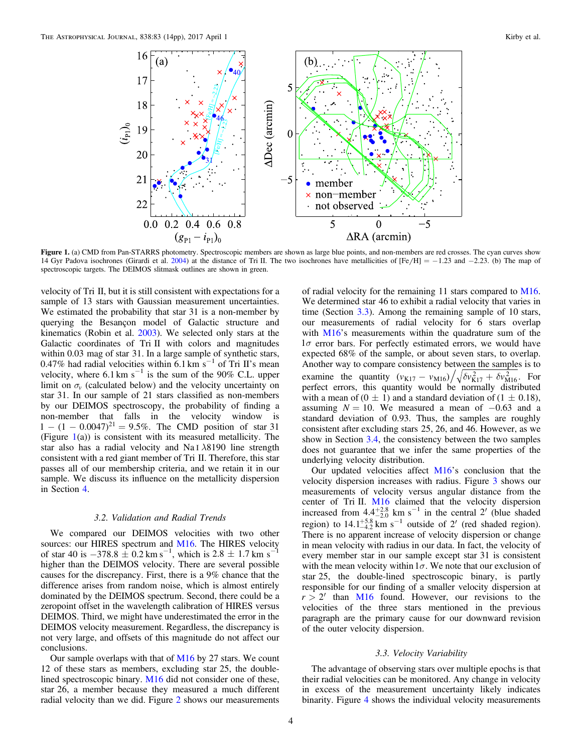<span id="page-3-0"></span>

Figure 1. (a) CMD from Pan-STARRS photometry. Spectroscopic members are shown as large blue points, and non-members are red crosses. The cyan curves show 14 Gyr Padova isochrones (Girardi et al. [2004](#page-12-0)) at the distance of Tri II. The two isochrones have metallicities of  $[Fe/H] = -1.23$  and  $-2.23$ . (b) The map of spectroscopic targets. The DEIMOS slitmask outlines are shown in green.

velocity of Tri II, but it is still consistent with expectations for a sample of 13 stars with Gaussian measurement uncertainties. We estimated the probability that star 31 is a non-member by querying the Besançon model of Galactic structure and kinematics (Robin et al. [2003](#page-13-0)). We selected only stars at the Galactic coordinates of Tri II with colors and magnitudes within 0.03 mag of star 31. In a large sample of synthetic stars, 0.47% had radial velocities within  $6.1 \text{ km}^3 \text{s}^{-1}$  of Tri II's mean velocity, where  $6.1 \text{ km s}^{-1}$  is the sum of the 90% C.L. upper limit on  $\sigma$ <sup>*v*</sup> (calculated below) and the velocity uncertainty on star 31. In our sample of 21 stars classified as non-members by our DEIMOS spectroscopy, the probability of finding a non-member that falls in the velocity window is  $1 - (1 - 0.0047)^{21} = 9.5\%$ . The CMD position of star 31 (Figure  $1(a)$ ) is consistent with its measured metallicity. The star also has a radial velocity and Na I *l*8190 line strength consistent with a red giant member of Tri II. Therefore, this star passes all of our membership criteria, and we retain it in our sample. We discuss its influence on the metallicity dispersion in Section [4.](#page-7-0)

## 3.2. Validation and Radial Trends

We compared our DEIMOS velocities with two other sources: our HIRES spectrum and [M16.](#page-13-0) The HIRES velocity of star 40 is  $-378.8 \pm 0.2$  km s<sup>-1</sup>, which is 2.8  $\pm$  1.7 km s<sup>-1</sup> higher than the DEIMOS velocity. There are several possible causes for the discrepancy. First, there is a 9% chance that the difference arises from random noise, which is almost entirely dominated by the DEIMOS spectrum. Second, there could be a zeropoint offset in the wavelength calibration of HIRES versus DEIMOS. Third, we might have underestimated the error in the DEIMOS velocity measurement. Regardless, the discrepancy is not very large, and offsets of this magnitude do not affect our conclusions.

Our sample overlaps with that of  $M16$  by 27 stars. We count 12 of these stars as members, excluding star 25, the doublelined spectroscopic binary. [M16](#page-13-0) did not consider one of these, star 26, a member because they measured a much different radial velocity than we did. Figure [2](#page-5-0) shows our measurements

of radial velocity for the remaining 11 stars compared to [M16](#page-13-0). We determined star 46 to exhibit a radial velocity that varies in time (Section 3.3). Among the remaining sample of 10 stars, our measurements of radial velocity for 6 stars overlap with [M16](#page-13-0)'s measurements within the quadrature sum of the  $1\sigma$  error bars. For perfectly estimated errors, we would have expected 68% of the sample, or about seven stars, to overlap. Another way to compare consistency between the samples is to examine the quantity  $(v_{K17} - v_{M16}) / \sqrt{\delta v_{K17}^2 + \delta v_{M16}^2}$ . For perfect errors, this quantity would be normally distributed with a mean of  $(0 \pm 1)$  and a standard deviation of  $(1 \pm 0.18)$ , assuming  $N = 10$ . We measured a mean of  $-0.63$  and a standard deviation of 0.93. Thus, the samples are roughly consistent after excluding stars 25, 26, and 46. However, as we show in Section [3.4,](#page-6-0) the consistency between the two samples does not guarantee that we infer the same properties of the underlying velocity distribution.

Our updated velocities affect [M16](#page-13-0)'s conclusion that the velocity dispersion increases with radius. Figure [3](#page-5-0) shows our measurements of velocity versus angular distance from the center of Tri II. [M16](#page-13-0) claimed that the velocity dispersion increased from  $4.4^{+2.8}_{-2.0}$  km s<sup>-1</sup> in the central 2<sup>'</sup> (blue shaded region) to  $14.1^{+5.8}_{-4.2}$  km s<sup>-1</sup> outside of 2<sup>'</sup> (red shaded region). There is no apparent increase of velocity dispersion or change in mean velocity with radius in our data. In fact, the velocity of every member star in our sample except star 31 is consistent with the mean velocity within  $1\sigma$ . We note that our exclusion of star 25, the double-lined spectroscopic binary, is partly responsible for our finding of a smaller velocity dispersion at  $r > 2'$  than [M16](#page-13-0) found. However, our revisions to the velocities of the three stars mentioned in the previous paragraph are the primary cause for our downward revision of the outer velocity dispersion.

## 3.3. Velocity Variability

The advantage of observing stars over multiple epochs is that their radial velocities can be monitored. Any change in velocity in excess of the measurement uncertainty likely indicates binarity. Figure [4](#page-5-0) shows the individual velocity measurements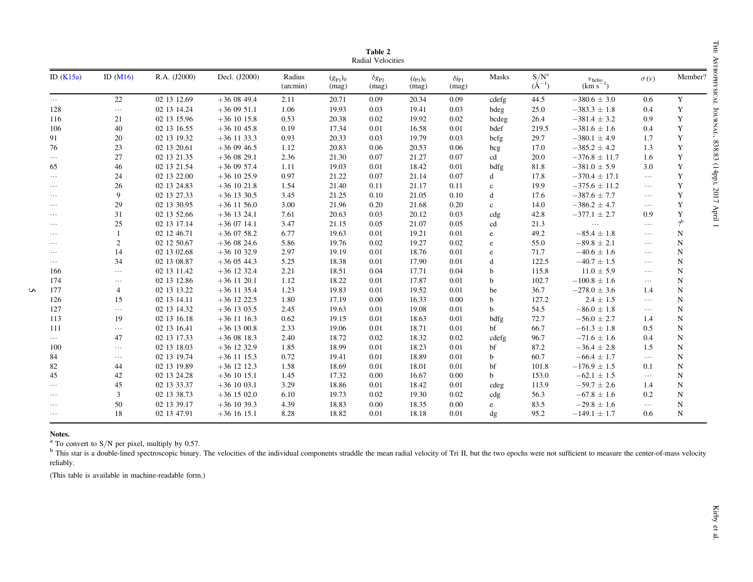<span id="page-4-0"></span>

|             | Radial Velocities |              |               |                    |                       |                              |                       |                              |              |                       |                                     |             |                       |
|-------------|-------------------|--------------|---------------|--------------------|-----------------------|------------------------------|-----------------------|------------------------------|--------------|-----------------------|-------------------------------------|-------------|-----------------------|
| ID $(K15a)$ | ID $(M16)$        | R.A. (J2000) | Decl. (J2000) | Radius<br>(arcmin) | $(g_{P1})_0$<br>(mag) | $\delta g_{\rm P1}$<br>(mag) | $(i_{P1})_0$<br>(mag) | $\delta i_{\rm P1}$<br>(mag) | Masks        | $S/N^a$<br>$(A^{-1})$ | $v_{\text{helio}}$<br>$(km s^{-1})$ | $\sigma(v)$ | Member?               |
| $\cdots$    | 22                | 02 13 12.69  | $+360849.4$   | 2.11               | 20.71                 | 0.09                         | 20.34                 | 0.09                         | cdefg        | 44.5                  | $-380.6 \pm 3.0$                    | 0.6         | Y                     |
| 128         | $\ldots$          | 02 13 14.24  | $+360951.1$   | 1.06               | 19.93                 | 0.03                         | 19.41                 | 0.03                         | bdeg         | 25.0                  | $-383.3 \pm 1.8$                    | 0.4         | $\mathbf Y$           |
| 116         | 21                | 02 13 15.96  | $+36$ 10 15.8 | 0.53               | 20.38                 | 0.02                         | 19.92                 | 0.02                         | bcdeg        | 26.4                  | $-381.4 \pm 3.2$                    | 0.9         | Y                     |
| 106         | 40                | 02 13 16.55  | $+36$ 10 45.8 | 0.19               | 17.34                 | 0.01                         | 16.58                 | 0.01                         | bdef         | 219.5                 | $-381.6 \pm 1.6$                    | 0.4         | $\mathbf Y$           |
| 91          | 20                | 02 13 19.32  | $+36$ 11 33.3 | 0.93               | 20.33                 | 0.03                         | 19.79                 | 0.03                         | bcfg         | 29.7                  | $-380.1 \pm 4.9$                    | 1.7         | Y                     |
| 76          | 23                | 02 13 20.61  | $+360946.5$   | 1.12               | 20.83                 | 0.06                         | 20.53                 | 0.06                         | bcg          | 17.0                  | $-385.2 \pm 4.2$                    | 1.3         | Y                     |
| $\cdots$    | 27                | 02 13 21.35  | $+360829.1$   | 2.36               | 21.30                 | 0.07                         | 21.27                 | 0.07                         | cd           | 20.0                  | $-376.8 \pm 11.7$                   | 1.6         | Y                     |
| 65          | 46                | 02 13 21.54  | $+360957.4$   | 1.11               | 19.03                 | 0.01                         | 18.42                 | 0.01                         | bdfg         | 81.8                  | $-381.0 \pm 5.9$                    | 3.0         | Y                     |
| $\cdots$    | 24                | 02 13 22.00  | $+36$ 10 25.9 | 0.97               | 21.22                 | 0.07                         | 21.14                 | 0.07                         | d            | 17.8                  | $-370.4 \pm 17.1$                   | $\ldots$    | Y                     |
| $\cdots$    | 26                | 02 13 24.83  | $+36$ 10 21.8 | 1.54               | 21.40                 | 0.11                         | 21.17                 | 0.11                         | $\mathbf{c}$ | 19.9                  | $-375.6 \pm 11.2$                   | $\cdots$    | Y                     |
| $\cdots$    | 9                 | 02 13 27.33  | $+36$ 13 30.5 | 3.45               | 21.25                 | 0.10                         | 21.05                 | 0.10                         | d            | 17.6                  | $-387.6 \pm 7.7$                    | $\cdots$    | Y                     |
| $\cdots$    | 29                | 02 13 30.95  | $+36$ 11 56.0 | 3.00               | 21.96                 | 0.20                         | 21.68                 | 0.20                         | $\mathbf{c}$ | 14.0                  | $-386.2 \pm 4.7$                    | $\cdots$    | Y                     |
| $\cdots$    | 31                | 02 13 52.66  | $+36$ 13 24.1 | 7.61               | 20.63                 | 0.03                         | 20.12                 | 0.03                         | cdg          | 42.8                  | $-377.1 \pm 2.7$                    | 0.9         | Y                     |
| $\cdots$    | 25                | 02 13 17.14  | $+360714.1$   | 3.47               | 21.15                 | 0.05                         | 21.07                 | 0.05                         | cd           | 21.3                  | $\ldots$                            | $\cdots$    | $\gamma$ <sub>b</sub> |
| $\cdots$    |                   | 02 12 46.71  | $+360758.2$   | 6.77               | 19.63                 | 0.01                         | 19.21                 | 0.01                         | e            | 49.2                  | $-85.4 \pm 1.8$                     | $\cdots$    | $\mathbf N$           |
| $\cdots$    | 2                 | 02 12 50.67  | $+360824.6$   | 5.86               | 19.76                 | 0.02                         | 19.27                 | 0.02                         | e            | 55.0                  | $-89.8 \pm 2.1$                     | $\cdots$    | N                     |
| $\cdots$    | 14                | 02 13 02.68  | $+36$ 10 32.9 | 2.97               | 19.19                 | 0.01                         | 18.76                 | 0.01                         | e            | 71.7                  | $-40.6 \pm 1.6$                     | $\cdots$    | N                     |
| $\cdots$    | 34                | 02 13 08.87  | $+36$ 05 44.3 | 5.25               | 18.38                 | 0.01                         | 17.90                 | 0.01                         | d            | 122.5                 | $-40.7 \pm 1.5$                     | $\cdots$    | N                     |
| 166         | $\cdots$          | 02 13 11.42  | $+36$ 12 32.4 | 2.21               | 18.51                 | 0.04                         | 17.71                 | 0.04                         | b            | 115.8                 | $11.0 \pm 5.9$                      | $\cdots$    | N                     |
| 174         | $\cdots$          | 02 13 12.86  | $+36$ 11 20.1 | 1.12               | 18.22                 | 0.01                         | 17.87                 | 0.01                         | h            | 102.7                 | $-100.8 \pm 1.6$                    | $\cdots$    | N                     |
| 177         | 4                 | 02 13 13.22  | $+36$ 11 35.4 | 1.23               | 19.83                 | 0.01                         | 19.52                 | 0.01                         | be           | 36.7                  | $-278.0 \pm 3.6$                    | 1.4         | N                     |
| 126         | 15                | 02 13 14.11  | $+36$ 12 22.5 | 1.80               | 17.19                 | 0.00                         | 16.33                 | 0.00                         | b            | 127.2                 | $2.4 \pm 1.5$                       | $\cdots$    | N                     |
| 127         | $\cdots$          | 02 13 14.32  | $+36$ 13 03.5 | 2.45               | 19.63                 | 0.01                         | 19.08                 | 0.01                         | <sub>b</sub> | 54.5                  | $-86.0 \pm 1.8$                     | $\cdots$    | N                     |
| 113         | 19                | 02 13 16.18  | $+36$ 11 16.3 | 0.62               | 19.15                 | 0.01                         | 18.63                 | 0.01                         | bdfg         | 72.7                  | $-56.0 \pm 2.7$                     | 1.4         | $\mathbf N$           |
| 111         | $\cdots$          | 02 13 16.41  | $+36$ 13 00.8 | 2.33               | 19.06                 | 0.01                         | 18.71                 | 0.01                         | bf           | 66.7                  | $-61.3 \pm 1.8$                     | 0.5         | $\mathbf N$           |
| $\cdots$    | 47                | 02 13 17.33  | $+360818.3$   | 2.40               | 18.72                 | 0.02                         | 18.32                 | 0.02                         | cdefg        | 96.7                  | $-71.6 \pm 1.6$                     | 0.4         | $\mathbf N$           |
| 100         | $\cdots$          | 02 13 18.03  | $+36$ 12 32.9 | 1.85               | 18.99                 | 0.01                         | 18.23                 | 0.01                         | bf           | 87.2                  | $-36.4 \pm 2.8$                     | 1.5         | $\mathbf N$           |
| 84          | $\cdots$          | 02 13 19.74  | $+36$ 11 15.3 | 0.72               | 19.41                 | 0.01                         | 18.89                 | 0.01                         | b            | 60.7                  | $-66.4 \pm 1.7$                     | $\cdots$    | N                     |
| 82          | 44                | 02 13 19.89  | $+36$ 12 12.3 | 1.58               | 18.69                 | 0.01                         | 18.01                 | 0.01                         | bf           | 101.8                 | $-176.9 \pm 1.5$                    | 0.1         | N                     |
| 45          | 42                | 02 13 24.28  | $+36$ 10 15.1 | 1.45               | 17.32                 | 0.00                         | 16.67                 | 0.00                         | b            | 153.0                 | $-62.1 \pm 1.5$                     | $\cdots$    | N                     |
| $\cdots$    | 45                | 02 13 33.37  | $+36$ 10 03.1 | 3.29               | 18.86                 | 0.01                         | 18.42                 | 0.01                         | cdeg         | 113.9                 | $-59.7 \pm 2.6$                     | 1.4         | N                     |
| $\cdots$    | 3                 | 02 13 38.73  | $+36$ 15 02.0 | 6.10               | 19.73                 | 0.02                         | 19.30                 | 0.02                         | cdg          | 56.3                  | $-67.8 \pm 1.6$                     | 0.2         | N                     |
| $\cdots$    | 50                | 02 13 39.17  | $+36$ 10 39.3 | 4.39               | 18.83                 | 0.00                         | 18.35                 | 0.00                         | e            | 83.5                  | $-29.8 \pm 1.6$                     | $\cdots$    | N                     |
| $\cdots$    | 18                | 02 13 47.91  | $+36$ 16 15.1 | 8.28               | 18.82                 | 0.01                         | 18.18                 | 0.01                         | dg           | 95.2                  | $-149.1 \pm 1.7$                    | 0.6         | $\mathbf N$           |

Table 2

### Notes.

5

 $^{\text{a}}$  To convert to S/N per pixel, multiply by 0.57.

This star is a double-lined spectroscopic binary. The velocities of the individual components straddle the mean radial velocity of Tri II, but the two epochs were not sufficient to measure the center-of-mass velocity  $\frac{$ reliably.

(This table is available in machine-readable form.)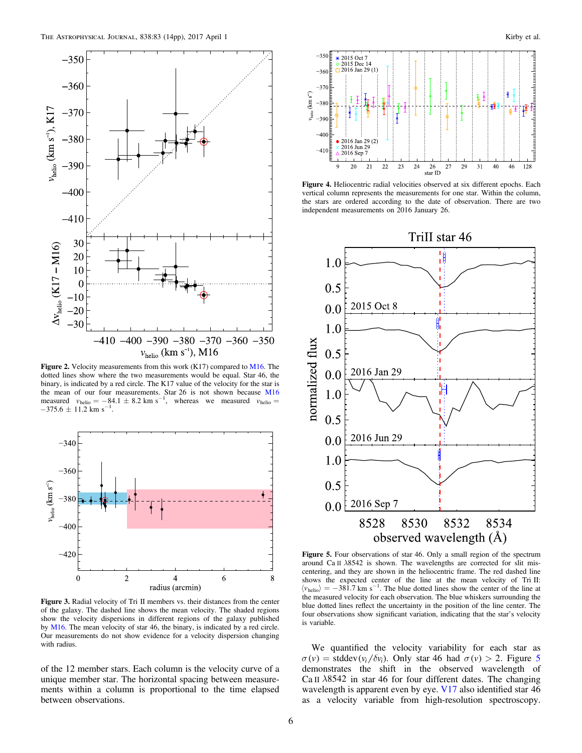<span id="page-5-0"></span>

Figure 2. Velocity measurements from this work (K17) compared to [M16.](#page-13-0) The dotted lines show where the two measurements would be equal. Star 46, the binary, is indicated by a red circle. The K17 value of the velocity for the star is the mean of our four measurements. Star 26 is not shown because [M16](#page-13-0) measured  $v_{helio} = -84.1 \pm 8.2$  km s<sup>-1</sup>, whereas we measured  $v_{helio} =$  $-375.6 \pm 11.2$  km s<sup>-1</sup>.



Figure 3. Radial velocity of Tri II members vs. their distances from the center of the galaxy. The dashed line shows the mean velocity. The shaded regions show the velocity dispersions in different regions of the galaxy published by [M16](#page-13-0). The mean velocity of star 46, the binary, is indicated by a red circle. Our measurements do not show evidence for a velocity dispersion changing with radius.

of the 12 member stars. Each column is the velocity curve of a unique member star. The horizontal spacing between measurements within a column is proportional to the time elapsed between observations.



Figure 4. Heliocentric radial velocities observed at six different epochs. Each vertical column represents the measurements for one star. Within the column, the stars are ordered according to the date of observation. There are two independent measurements on 2016 January 26.



Figure 5. Four observations of star 46. Only a small region of the spectrum around Ca II  $\lambda$ 8542 is shown. The wavelengths are corrected for slit miscentering, and they are shown in the heliocentric frame. The red dashed line shows the expected center of the line at the mean velocity of Tri II:  $\langle v_{helio} \rangle = -381.7$  km s<sup>-1</sup>. The blue dotted lines show the center of the line at the measured velocity for each observation. The blue whiskers surrounding the blue dotted lines reflect the uncertainty in the position of the line center. The four observations show significant variation, indicating that the star's velocity is variable.

We quantified the velocity variability for each star as  $\sigma(v)$  = stddev( $v_i / \delta v_i$ ). Only star 46 had  $\sigma(v) > 2$ . Figure 5 demonstrates the shift in the observed wavelength of Ca II *l*8542 in star 46 for four different dates. The changing wavelength is apparent even by eye. V<sub>17</sub> also identified star 46 as a velocity variable from high-resolution spectroscopy.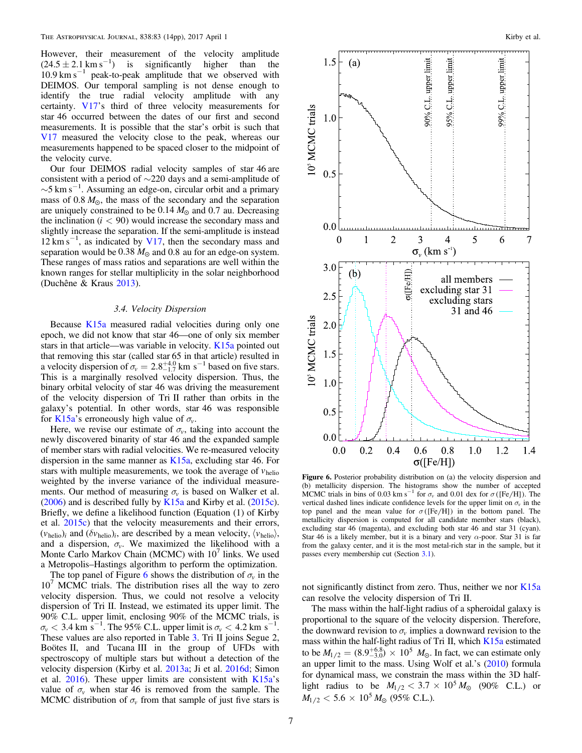<span id="page-6-0"></span>However, their measurement of the velocity amplitude  $(24.5 \pm 2.1 \text{ km s}^{-1})$  is significantly higher than the  $10.9 \text{ km s}^{-1}$  peak-to-peak amplitude that we observed with DEIMOS. Our temporal sampling is not dense enough to identify the true radial velocity amplitude with any certainty. [V17](#page-13-0)'s third of three velocity measurements for star 46 occurred between the dates of our first and second measurements. It is possible that the star's orbit is such that [V17](#page-13-0) measured the velocity close to the peak, whereas our measurements happened to be spaced closer to the midpoint of the velocity curve.

Our four DEIMOS radial velocity samples of star 46 are consistent with a period of ∼220 days and a semi-amplitude of  $\sim$ 5 km s<sup>-1</sup>. Assuming an edge-on, circular orbit and a primary mass of  $0.8 M_{\odot}$ , the mass of the secondary and the separation are uniquely constrained to be  $0.14 M_{\odot}$  and  $0.7$  au. Decreasing the inclination  $(i < 90)$  would increase the secondary mass and slightly increase the separation. If the semi-amplitude is instead 12 km s<sup>-1</sup>, as indicated by [V17,](#page-13-0) then the secondary mass and separation would be  $0.38 M_{\odot}$  and  $0.8$  au for an edge-on system. These ranges of mass ratios and separations are well within the known ranges for stellar multiplicity in the solar neighborhood (Duchêne & Kraus [2013](#page-12-0)).

# 3.4. Velocity Dispersion

Because [K15a](#page-12-0) measured radial velocities during only one epoch, we did not know that star 46—one of only six member stars in that article—was variable in velocity. [K15a](#page-12-0) pointed out that removing this star (called star 65 in that article) resulted in a velocity dispersion of  $\sigma_v = 2.8^{+4.0}_{-1.7}$  km s<sup>-1</sup> based on five stars. This is a marginally resolved velocity dispersion. Thus, the binary orbital velocity of star 46 was driving the measurement of the velocity dispersion of Tri II rather than orbits in the galaxy's potential. In other words, star 46 was responsible for [K15a](#page-12-0)'s erroneously high value of  $\sigma_{v}$ .

Here, we revise our estimate of  $\sigma_v$ , taking into account the newly discovered binarity of star 46 and the expanded sample of member stars with radial velocities. We re-measured velocity dispersion in the same manner as  $K15a$ , excluding star 46. For stars with multiple measurements, we took the average of  $v_{helio}$ weighted by the inverse variance of the individual measurements. Our method of measuring  $\sigma_v$  is based on Walker et al. ([2006](#page-13-0)) and is described fully by [K15a](#page-12-0) and Kirby et al. ([2015c](#page-12-0)). Briefly, we define a likelihood function (Equation (1) of Kirby et al. [2015c](#page-12-0)) that the velocity measurements and their errors,  $(v_{helio})_i$  and  $(\delta v_{helio})_i$ , are described by a mean velocity,  $\langle v_{helio} \rangle$ , and a dispersion,  $\sigma_{\nu}$ . We maximized the likelihood with a Monte Carlo Markov Chain (MCMC) with  $10<sup>7</sup>$  links. We used a Metropolis–Hastings algorithm to perform the optimization.

The top panel of Figure 6 shows the distribution of  $\sigma_{\nu}$  in the  $10<sup>7</sup>$  MCMC trials. The distribution rises all the way to zero velocity dispersion. Thus, we could not resolve a velocity dispersion of Tri II. Instead, we estimated its upper limit. The 90% C.L. upper limit, enclosing 90% of the MCMC trials, is  $\sigma_{\nu}$  < 3.4 km s<sup>-1</sup>. The 95% C.L. upper limit is  $\sigma_{\nu}$  < 4.2 km s<sup>-1</sup> . These values are also reported in Table [3](#page-7-0). Tri II joins Segue 2, Boötes II, and Tucana III in the group of UFDs with spectroscopy of multiple stars but without a detection of the velocity dispersion (Kirby et al. [2013a;](#page-12-0) Ji et al. [2016d](#page-12-0); Simon et al.  $2016$ ). These upper limits are consistent with  $K15a's$  $K15a's$ value of  $\sigma$ <sup>*v*</sup> when star 46 is removed from the sample. The MCMC distribution of  $\sigma_v$  from that sample of just five stars is



Figure 6. Posterior probability distribution on (a) the velocity dispersion and (b) metallicity dispersion. The histograms show the number of accepted MCMC trials in bins of 0.03 km s<sup>-1</sup> for  $\sigma_v$  and 0.01 dex for  $\sigma$  ([Fe/H]). The vertical dashed lines indicate confidence levels for the upper limit on  $\sigma_{\nu}$  in the top panel and the mean value for  $\sigma$  ([Fe/H]) in the bottom panel. The metallicity dispersion is computed for all candidate member stars (black), excluding star 46 (magenta), and excluding both star 46 and star 31 (cyan). Star 46 is a likely member, but it is a binary and very  $\alpha$ -poor. Star 31 is far from the galaxy center, and it is the most metal-rich star in the sample, but it passes every membership cut (Section [3.1](#page-2-0)).

not significantly distinct from zero. Thus, neither we nor  $K15a$ can resolve the velocity dispersion of Tri II.

The mass within the half-light radius of a spheroidal galaxy is proportional to the square of the velocity dispersion. Therefore, the downward revision to  $\sigma_v$  implies a downward revision to the mass within the half-light radius of Tri II, which [K15a](#page-12-0) estimated to be  $M_{1/2} = (8.9^{+6.8}_{-3.0}) \times 10^5$   $M_{\odot}$ . In fact, we can estimate only an upper limit to the mass. Using Wolf et al.'s ([2010](#page-13-0)) formula for dynamical mass, we constrain the mass within the 3D halflight radius to be  $M_{1/2} < 3.7 \times 10^5 M_{\odot}$  (90% C.L.) or  $M_{1/2} < 5.6 \times 10^5$   $M_{\odot}$  (95% C.L.).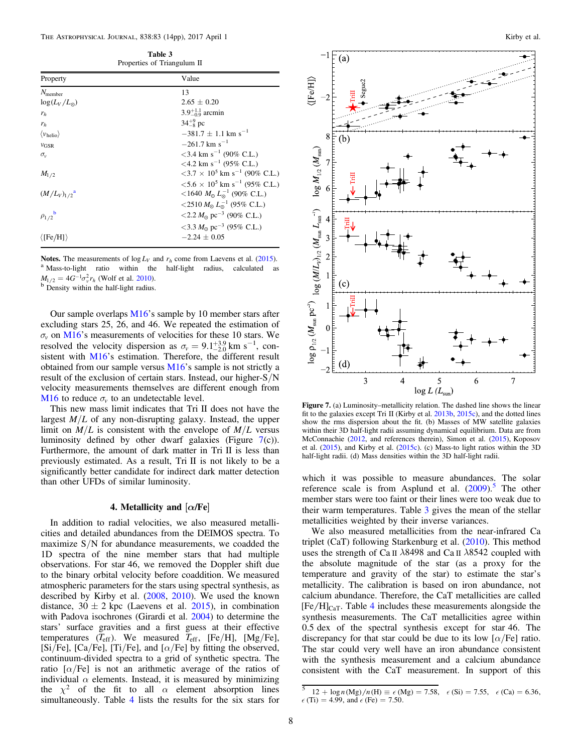Table 3 Properties of Triangulum II

<span id="page-7-0"></span>

| Property                           | Value                                                          |
|------------------------------------|----------------------------------------------------------------|
| $N_{\text{member}}$                | 13                                                             |
| $\log(L_V/L_{\odot})$              | $2.65 \pm 0.20$                                                |
| $r_h$                              | $3.9^{+1.1}_{-0.9}$ arcmin                                     |
| $r_h$                              | $34^{+9}_{-8}$ pc                                              |
| $\langle v_{\text{helio}} \rangle$ | $-381.7 + 1.1$ km s <sup>-1</sup>                              |
| $v_{\text{GSR}}$                   | $-261.7$ km s <sup>-1</sup>                                    |
| $\sigma_{\rm v}$                   | $<$ 3.4 km s <sup>-1</sup> (90% C.L.)                          |
|                                    | $<$ 4.2 km s <sup>-1</sup> (95% C.L.)                          |
| $M_{1/2}$                          | $<$ 3.7 $\times$ 10 <sup>5</sup> km s <sup>-1</sup> (90% C.L.) |
|                                    | $< 5.6 \times 10^5$ km s <sup>-1</sup> (95% C.L.)              |
| $(M/L_V)_{1/2}$ <sup>a</sup>       | <1640 $M_{\odot} L_{\odot}^{-1}$ (90% C.L.)                    |
|                                    | <2510 $M_{\odot} L_{\odot}^{-1}$ (95% C.L.)                    |
| $\rho_{1/2}$ <sup>b</sup>          | $\langle 2.2 M_{\odot} \text{ pc}^{-3} (90\% \text{ C.L.})$    |
|                                    | $<$ 3.3 $M_{\odot}$ pc <sup>-3</sup> (95% C.L.)                |
| $\langle$ [Fe/H] $\rangle$         | $-2.24 + 0.05$                                                 |

**Notes.** The measurements of  $\log L_V$  and  $r_h$  come from Laevens et al. ([2015](#page-12-0)). <br><sup>a</sup> Mass-to-light ratio within the half-light radius, calculated as  $M_{1/2} = 4G^{-1}\sigma_v^2 r_h$  (Wolf et al. [2010](#page-13-0)).<br><sup>b</sup> Density within the half-light radius.

Our sample overlaps [M16](#page-13-0)'s sample by 10 member stars after excluding stars 25, 26, and 46. We repeated the estimation of  $\sigma$ <sub>v</sub> on [M16](#page-13-0)'s measurements of velocities for these 10 stars. We resolved the velocity dispersion as  $\sigma_v = 9.1^{+3.9}_{-2.0}$  km s<sup>-1</sup>, consistent with [M16](#page-13-0)'s estimation. Therefore, the different result obtained from our sample versus [M16](#page-13-0)'s sample is not strictly a result of the exclusion of certain stars. Instead, our higher-S/N velocity measurements themselves are different enough from [M16](#page-13-0) to reduce  $\sigma$ <sup>*v*</sup> to an undetectable level.

This new mass limit indicates that Tri II does not have the largest  $M/L$  of any non-disrupting galaxy. Instead, the upper limit on  $M/L$  is consistent with the envelope of  $M/L$  versus luminosity defined by other dwarf galaxies (Figure  $7(c)$ ). Furthermore, the amount of dark matter in Tri II is less than previously estimated. As a result, Tri II is not likely to be a significantly better candidate for indirect dark matter detection than other UFDs of similar luminosity.

# 4. Metallicity and  $[\alpha/\text{Fe}]$

In addition to radial velocities, we also measured metallicities and detailed abundances from the DEIMOS spectra. To maximize  $S/N$  for abundance measurements, we coadded the 1D spectra of the nine member stars that had multiple observations. For star 46, we removed the Doppler shift due to the binary orbital velocity before coaddition. We measured atmospheric parameters for the stars using spectral synthesis, as described by Kirby et al. ([2008](#page-12-0), [2010](#page-12-0)). We used the known distance,  $30 \pm 2$  kpc (Laevens et al. [2015](#page-12-0)), in combination with Padova isochrones (Girardi et al. [2004](#page-12-0)) to determine the stars' surface gravities and a first guess at their effective temperatures (*T*eff). We measured *T*eff, [Fe/H], [Mg/Fe], [Si/Fe], [Ca/Fe], [Ti/Fe], and [ $\alpha$ /Fe] by fitting the observed, continuum-divided spectra to a grid of synthetic spectra. The ratio  $\left[\alpha/\text{Fe}\right]$  is not an arithmetic average of the ratios of individual  $\alpha$  elements. Instead, it is measured by minimizing the  $\chi^2$  of the fit to all  $\alpha$  element absorption lines simultaneously. Table [4](#page-8-0) lists the results for the six stars for



Figure 7. (a) Luminosity–metallicity relation. The dashed line shows the linear fit to the galaxies except Tri II (Kirby et al. [2013b,](#page-12-0) [2015c](#page-12-0)), and the dotted lines show the rms dispersion about the fit. (b) Masses of MW satellite galaxies within their 3D half-light radii assuming dynamical equilibrium. Data are from McConnachie ([2012](#page-13-0), and references therein), Simon et al. ([2015](#page-13-0)), Koposov et al. ([2015](#page-12-0)), and Kirby et al. ([2015c](#page-12-0)). (c) Mass-to light ratios within the 3D half-light radii. (d) Mass densities within the 3D half-light radii.

which it was possible to measure abundances. The solar reference scale is from Asplund et al. ([2009](#page-12-0)).<sup>5</sup> The other member stars were too faint or their lines were too weak due to their warm temperatures. Table 3 gives the mean of the stellar metallicities weighted by their inverse variances.

We also measured metallicities from the near-infrared Ca triplet (CaT) following Starkenburg et al. ([2010](#page-13-0)). This method uses the strength of Ca II *l*8498 and Ca II *l*8542 coupled with the absolute magnitude of the star (as a proxy for the temperature and gravity of the star) to estimate the star's metallicity. The calibration is based on iron abundance, not calcium abundance. Therefore, the CaT metallicities are called  $[Fe/H]_{CaT}$ . Table [4](#page-8-0) includes these measurements alongside the synthesis measurements. The CaT metallicities agree within 0.5 dex of the spectral synthesis except for star 46. The discrepancy for that star could be due to its low  $\lbrack \alpha/\text{Fe} \rbrack$  ratio. The star could very well have an iron abundance consistent with the synthesis measurement and a calcium abundance consistent with the CaT measurement. In support of this

 $12 + \log n \left( \text{Mg} \right) / n \left( \text{H} \right) \equiv \epsilon \left( \text{Mg} \right) = 7.58, \ \epsilon \left( \text{Si} \right) = 7.55, \ \epsilon \left( \text{Ca} \right) = 6.36,$  $\epsilon$  (Ti) = 4.99, and  $\epsilon$  (Fe) = 7.50.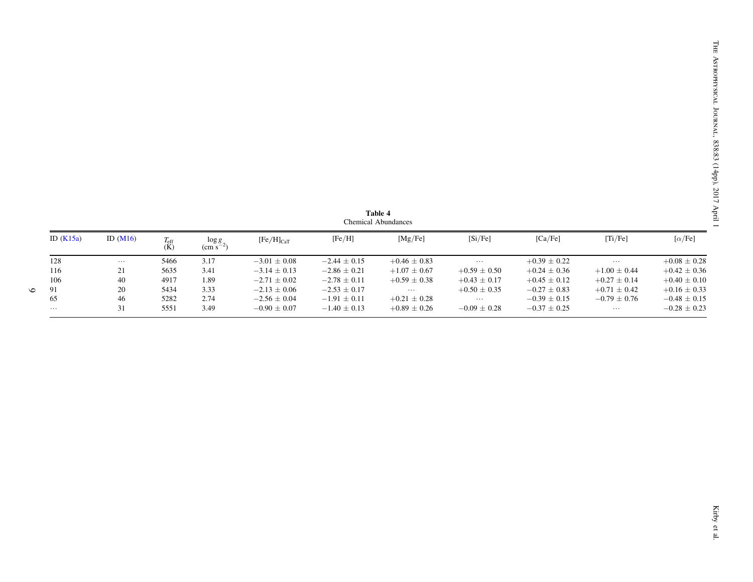<span id="page-8-0"></span>

| ID $(K15a)$ | ID $(M16)$ | $T_{\rm eff}$<br>(K) | $\log g$<br>$\rm \sim cm~s^{-1}$ | $[Fe/H]_{CaT}$   | [Fe/H]           | [Mg/Fe]          | [Si/Fe]          | [Ca/Fe]          | [Ti/Fe]          | $[\alpha/\text{Fe}]$ |
|-------------|------------|----------------------|----------------------------------|------------------|------------------|------------------|------------------|------------------|------------------|----------------------|
| 128         | $\cdots$   | 5466                 | 3.17                             | $-3.01 + 0.08$   | $-2.44 \pm 0.15$ | $+0.46 \pm 0.83$ | $\cdots$         | $+0.39 \pm 0.22$ | $\cdots$         | $+0.08 \pm 0.28$     |
| 116         | 21         | 5635                 | 3.41                             | $-3.14 \pm 0.13$ | $-2.86 \pm 0.21$ | $+1.07 \pm 0.67$ | $+0.59 \pm 0.50$ | $+0.24 \pm 0.36$ | $+1.00 \pm 0.44$ | $+0.42 \pm 0.36$     |
| 106         | 40         | 4917                 | 1.89                             | $-2.71 \pm 0.02$ | $-2.78 \pm 0.11$ | $+0.59 \pm 0.38$ | $+0.43 \pm 0.17$ | $+0.45 \pm 0.12$ | $+0.27 \pm 0.14$ | $+0.40 \pm 0.10$     |
| 91          | 20         | 5434                 | 3.33                             | $-2.13 \pm 0.06$ | $-2.53 \pm 0.17$ | $\cdots$         | $+0.50 \pm 0.35$ | $-0.27 \pm 0.83$ | $+0.71 \pm 0.42$ | $+0.16 \pm 0.33$     |
| 65          | 46         | 5282                 | 2.74                             | $-2.56 \pm 0.04$ | $-1.91 \pm 0.11$ | $+0.21 \pm 0.28$ | $\cdots$         | $-0.39 \pm 0.15$ | $-0.79 \pm 0.76$ | $-0.48 \pm 0.15$     |
| .           | 31         | 5551                 | 3.49                             | $-0.90 \pm 0.07$ | $-1.40 \pm 0.13$ | $+0.89 \pm 0.26$ | $-0.09 \pm 0.28$ | $-0.37 \pm 0.25$ | $\cdots$         | $-0.28 \pm 0.23$     |

Table 4 Chemical Abundances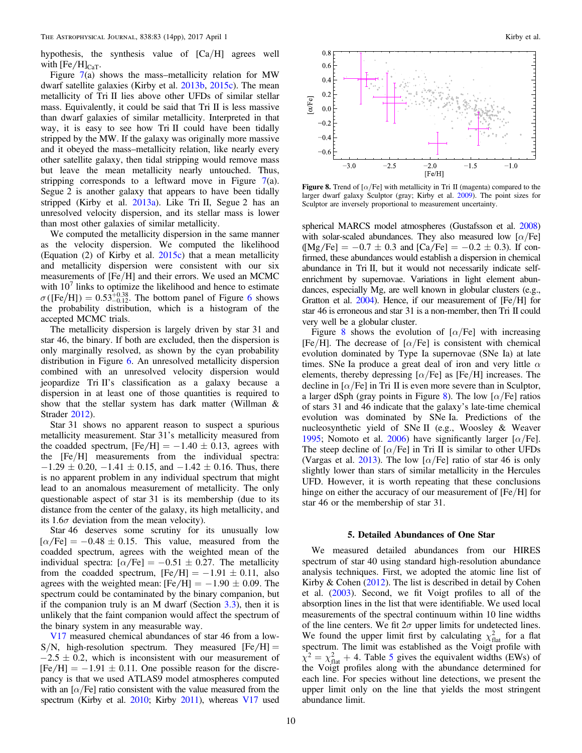<span id="page-9-0"></span>hypothesis, the synthesis value of [Ca/H] agrees well with  $[Fe/H]_{CAT}$ .

Figure  $7(a)$  $7(a)$  shows the mass-metallicity relation for MW dwarf satellite galaxies (Kirby et al. [2013b](#page-12-0), [2015c](#page-12-0)). The mean metallicity of Tri II lies above other UFDs of similar stellar mass. Equivalently, it could be said that Tri II is less massive than dwarf galaxies of similar metallicity. Interpreted in that way, it is easy to see how Tri II could have been tidally stripped by the MW. If the galaxy was originally more massive and it obeyed the mass–metallicity relation, like nearly every other satellite galaxy, then tidal stripping would remove mass but leave the mean metallicity nearly untouched. Thus, stripping corresponds to a leftward move in Figure  $7(a)$  $7(a)$ . Segue 2 is another galaxy that appears to have been tidally stripped (Kirby et al. [2013a](#page-12-0)). Like Tri II, Segue 2 has an unresolved velocity dispersion, and its stellar mass is lower than most other galaxies of similar metallicity.

We computed the metallicity dispersion in the same manner as the velocity dispersion. We computed the likelihood (Equation  $(2)$  of Kirby et al.  $2015c$ ) that a mean metallicity and metallicity dispersion were consistent with our six measurements of [Fe/H] and their errors. We used an MCMC with  $10<sup>7</sup>$  links to optimize the likelihood and hence to estimate  $\sigma$ ([Fe/H]) =  $0.53_{-0.12}^{+0.38}$ . The bottom panel of Figure [6](#page-6-0) shows the probability distribution, which is a histogram of the accepted MCMC trials.

The metallicity dispersion is largely driven by star 31 and star 46, the binary. If both are excluded, then the dispersion is only marginally resolved, as shown by the cyan probability distribution in Figure [6](#page-6-0). An unresolved metallicity dispersion combined with an unresolved velocity dispersion would jeopardize Tri II's classification as a galaxy because a dispersion in at least one of those quantities is required to show that the stellar system has dark matter (Willman & Strader [2012](#page-13-0)).

Star 31 shows no apparent reason to suspect a spurious metallicity measurement. Star 31's metallicity measured from the coadded spectrum,  $[Fe/H] = -1.40 \pm 0.13$ , agrees with the [Fe/H] measurements from the individual spectra:  $-1.29 \pm 0.20$ ,  $-1.41 \pm 0.15$ , and  $-1.42 \pm 0.16$ . Thus, there is no apparent problem in any individual spectrum that might lead to an anomalous measurement of metallicity. The only questionable aspect of star 31 is its membership (due to its distance from the center of the galaxy, its high metallicity, and its  $1.6\sigma$  deviation from the mean velocity).

Star 46 deserves some scrutiny for its unusually low  $[\alpha/\text{Fe}] = -0.48 \pm 0.15$ . This value, measured from the coadded spectrum, agrees with the weighted mean of the individual spectra:  $\left[\alpha/\text{Fe}\right] = -0.51 \pm 0.27$ . The metallicity from the coadded spectrum,  $[Fe/H] = -1.91 \pm 0.11$ , also agrees with the weighted mean:  $[Fe/H] = -1.90 \pm 0.09$ . The spectrum could be contaminated by the binary companion, but if the companion truly is an M dwarf (Section [3.3](#page-3-0)), then it is unlikely that the faint companion would affect the spectrum of the binary system in any measurable way.

[V17](#page-13-0) measured chemical abundances of star 46 from a low- $S/N$ , high-resolution spectrum. They measured  $[Fe/H] =$  $-2.5 \pm 0.2$ , which is inconsistent with our measurement of  $[Fe/H] = -1.91 \pm 0.11$ . One possible reason for the discrepancy is that we used ATLAS9 model atmospheres computed with an  $\left[\alpha/\text{Fe}\right]$  ratio consistent with the value measured from the spectrum (Kirby et al. [2010](#page-12-0); Kirby [2011](#page-12-0)), whereas [V17](#page-13-0) used



Figure 8. Trend of  $\left[\alpha/\text{Fe}\right]$  with metallicity in Tri II (magenta) compared to the larger dwarf galaxy Sculptor (gray; Kirby et al. [2009](#page-12-0)). The point sizes for Sculptor are inversely proportional to measurement uncertainty.

spherical MARCS model atmospheres (Gustafsson et al. [2008](#page-12-0)) with solar-scaled abundances. They also measured low  $[\alpha/Fe]$  $(Mg/Fe] = -0.7 \pm 0.3$  and  $[Ca/Fe] = -0.2 \pm 0.3$ ). If confirmed, these abundances would establish a dispersion in chemical abundance in Tri II, but it would not necessarily indicate selfenrichment by supernovae. Variations in light element abundances, especially Mg, are well known in globular clusters (e.g., Gratton et al. [2004](#page-12-0)). Hence, if our measurement of [Fe/H] for star 46 is erroneous and star 31 is a non-member, then Tri II could very well be a globular cluster.

Figure 8 shows the evolution of  $\alpha$ /Fe] with increasing [Fe/H]. The decrease of [ $\alpha$ /Fe] is consistent with chemical evolution dominated by Type Ia supernovae (SNe Ia) at late times. SNe Ia produce a great deal of iron and very little  $\alpha$ elements, thereby depressing  $[\alpha/Fe]$  as [Fe/H] increases. The decline in  $\left[\alpha/\text{Fe}\right]$  in Tri II is even more severe than in Sculptor, a larger dSph (gray points in Figure 8). The low  $\lceil \alpha / \text{Fe} \rceil$  ratios of stars 31 and 46 indicate that the galaxy's late-time chemical evolution was dominated by SNe Ia. Predictions of the nucleosynthetic yield of SNe II (e.g., Woosley & Weaver [1995;](#page-13-0) Nomoto et al. [2006](#page-13-0)) have significantly larger  $\lceil \alpha/\text{Fe} \rceil$ . The steep decline of  $\left[\alpha/\text{Fe}\right]$  in Tri II is similar to other UFDs (Vargas et al. [2013](#page-13-0)). The low [ $\alpha$ /Fe] ratio of star 46 is only slightly lower than stars of similar metallicity in the Hercules UFD. However, it is worth repeating that these conclusions hinge on either the accuracy of our measurement of [Fe/H] for star 46 or the membership of star 31.

#### 5. Detailed Abundances of One Star

We measured detailed abundances from our HIRES spectrum of star 40 using standard high-resolution abundance analysis techniques. First, we adopted the atomic line list of Kirby & Cohen ([2012](#page-12-0)). The list is described in detail by Cohen et al. ([2003](#page-12-0)). Second, we fit Voigt profiles to all of the absorption lines in the list that were identifiable. We used local measurements of the spectral continuum within 10 line widths of the line centers. We fit  $2\sigma$  upper limits for undetected lines. We found the upper limit first by calculating  $\chi^2_{\text{flat}}$  for a flat spectrum. The limit was established as the Voigt profile with  $\chi^2 = \chi^2_{\text{flat}} + 4$ . Table [5](#page-10-0) gives the equivalent widths (EWs) of the Voigt profiles along with the abundance determined for each line. For species without line detections, we present the upper limit only on the line that yields the most stringent abundance limit.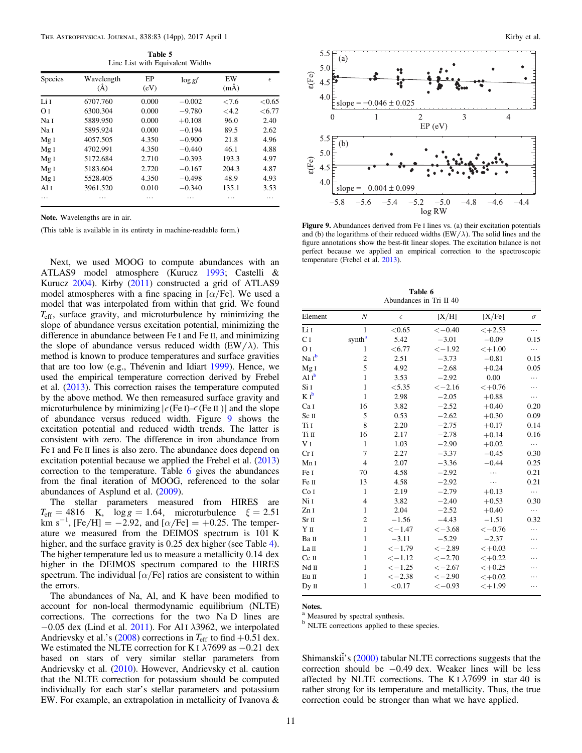Table 5 Line List with Equivalent Widths

<span id="page-10-0"></span>

| <b>Species</b>  | Wavelength<br>(A) | EP<br>(eV) | $\log gf$ | EW<br>$(m\AA)$ | $\epsilon$ |
|-----------------|-------------------|------------|-----------|----------------|------------|
| Li I            | 6707.760          | 0.000      | $-0.002$  | <7.6           | < 0.65     |
| OΤ              | 6300.304          | 0.000      | $-9.780$  | <4.2           | <6.77      |
| Na I            | 5889.950          | 0.000      | $+0.108$  | 96.0           | 2.40       |
| Na I            | 5895.924          | 0.000      | $-0.194$  | 89.5           | 2.62       |
| Mg <sub>I</sub> | 4057.505          | 4.350      | $-0.900$  | 21.8           | 4.96       |
| Mg <sub>I</sub> | 4702.991          | 4.350      | $-0.440$  | 46.1           | 4.88       |
| Mg <sub>I</sub> | 5172.684          | 2.710      | $-0.393$  | 193.3          | 4.97       |
| Mg <sub>I</sub> | 5183.604          | 2.720      | $-0.167$  | 204.3          | 4.87       |
| Mg <sub>I</sub> | 5528.405          | 4.350      | $-0.498$  | 48.9           | 4.93       |
| Al $I$          | 3961.520          | 0.010      | $-0.340$  | 135.1          | 3.53       |
| .               | .                 | .          | .         | .              | .          |

Note. Wavelengths are in air.

Next, we used MOOG to compute abundances with an ATLAS9 model atmosphere (Kurucz [1993](#page-12-0); Castelli & Kurucz [2004](#page-12-0)). Kirby ([2011](#page-12-0)) constructed a grid of ATLAS9 model atmospheres with a fine spacing in  $\lbrack \alpha/\text{Fe} \rbrack$ . We used a model that was interpolated from within that grid. We found *T*eff, surface gravity, and microturbulence by minimizing the slope of abundance versus excitation potential, minimizing the difference in abundance between Fe I and Fe II, and minimizing the slope of abundance versus reduced width  $(EW/\lambda)$ . This method is known to produce temperatures and surface gravities that are too low (e.g., Thévenin and Idiart [1999](#page-13-0)). Hence, we used the empirical temperature correction derived by Frebel et al. ([2013](#page-12-0)). This correction raises the temperature computed by the above method. We then remeasured surface gravity and microturbulence by minimizing  $|\epsilon$  (Fe I)– $\epsilon$  (Fe II )| and the slope of abundance versus reduced width. Figure 9 shows the excitation potential and reduced width trends. The latter is consistent with zero. The difference in iron abundance from Fe I and Fe II lines is also zero. The abundance does depend on excitation potential because we applied the Frebel et al. ([2013](#page-12-0)) correction to the temperature. Table 6 gives the abundances from the final iteration of MOOG, referenced to the solar abundances of Asplund et al. ([2009](#page-12-0)).

The stellar parameters measured from HIRES are  $T_{\text{eff}} = 4816 \text{ K}$ ,  $\log g = 1.64$ , microturbulence  $\xi = 2.51$ km s<sup>-1</sup>, [Fe/H] = -2.92, and  $[\alpha/Fe]$  = +0.25. The temperature we measured from the DEIMOS spectrum is 101 K higher, and the surface gravity is 0.25 dex higher (see Table [4](#page-8-0)). The higher temperature led us to measure a metallicity 0.14 dex higher in the DEIMOS spectrum compared to the HIRES spectrum. The individual  $\left[\alpha/\text{Fe}\right]$  ratios are consistent to within the errors.

The abundances of Na, Al, and K have been modified to account for non-local thermodynamic equilibrium (NLTE) corrections. The corrections for the two Na D lines are −0.05 dex (Lind et al. [2011](#page-13-0)). For Al I  $\lambda$ 3962, we interpolated Andrievsky et al.'s ([2008](#page-12-0)) corrections in  $T_{\text{eff}}$  to find  $+0.51$  dex. We estimated the NLTE correction for K I  $\lambda$ 7699 as −0.21 dex based on stars of very similar stellar parameters from Andrievsky et al. ([2010](#page-12-0)). However, Andrievsky et al. caution that the NLTE correction for potassium should be computed individually for each star's stellar parameters and potassium EW. For example, an extrapolation in metallicity of Ivanova &



(This table is available in its entirety in machine-readable form.) **Figure 9.** Abundances derived from Fe I lines vs. (a) their excitation potentials (TW/). The solid lines and the and (b) the logarithms of their reduced widths  $(EW/\lambda)$ . The solid lines and the figure annotations show the best-fit linear slopes. The excitation balance is not perfect because we applied an empirical correction to the spectroscopic temperature (Frebel et al. [2013](#page-12-0)).

Table 6 Abundances in Tri II 40

|                   | Abundances in The H 40  |            |          |           |          |  |  |  |  |
|-------------------|-------------------------|------------|----------|-----------|----------|--|--|--|--|
| Element           | $\boldsymbol{N}$        | $\epsilon$ | [X/H]    | [X/Fe]    | $\sigma$ |  |  |  |  |
| Li I              | $\mathbf{1}$            | < 0.65     | $<-0.40$ | $< +2.53$ | .        |  |  |  |  |
| C <sub>I</sub>    | $\text{synth}^\text{a}$ | 5.42       | $-3.01$  | $-0.09$   | 0.15     |  |  |  |  |
| O <sub>I</sub>    | 1                       | < 6.77     | $<-1.92$ | $< +1.00$ | .        |  |  |  |  |
| Na I <sup>b</sup> | $\overline{c}$          | 2.51       | $-3.73$  | $-0.81$   | 0.15     |  |  |  |  |
| Mg I              | 5                       | 4.92       | $-2.68$  | $+0.24$   | 0.05     |  |  |  |  |
| Al $I^b$          | $\mathbf{1}$            | 3.53       | $-2.92$  | 0.00      | .        |  |  |  |  |
| Si I              | $\mathbf{1}$            | < 5.35     | $<-2.16$ | $< +0.76$ | .        |  |  |  |  |
| $K I^b$           | $\mathbf{1}$            | 2.98       | $-2.05$  | $+0.88$   | .        |  |  |  |  |
| Ca I              | 16                      | 3.82       | $-2.52$  | $+0.40$   | 0.20     |  |  |  |  |
| Sc II             | 5                       | 0.53       | $-2.62$  | $+0.30$   | 0.09     |  |  |  |  |
| Ti I              | 8                       | 2.20       | $-2.75$  | $+0.17$   | 0.14     |  |  |  |  |
| Ti II             | 16                      | 2.17       | $-2.78$  | $+0.14$   | 0.16     |  |  |  |  |
| V <sub>I</sub>    | $\mathbf{1}$            | 1.03       | $-2.90$  | $+0.02$   | .        |  |  |  |  |
| Cr <sub>I</sub>   | 7                       | 2.27       | $-3.37$  | $-0.45$   | 0.30     |  |  |  |  |
| Mn I              | $\overline{4}$          | 2.07       | $-3.36$  | $-0.44$   | 0.25     |  |  |  |  |
| Fe I              | 70                      | 4.58       | $-2.92$  | .         | 0.21     |  |  |  |  |
| Fe II             | 13                      | 4.58       | $-2.92$  | .         | 0.21     |  |  |  |  |
| Co I              | $\mathbf{1}$            | 2.19       | $-2.79$  | $+0.13$   | .        |  |  |  |  |
| Ni I              | $\overline{4}$          | 3.82       | $-2.40$  | $+0.53$   | 0.30     |  |  |  |  |
| Zn I              | $\mathbf{1}$            | 2.04       | $-2.52$  | $+0.40$   | $\cdots$ |  |  |  |  |
| Sr <sub>II</sub>  | $\overline{2}$          | $-1.56$    | $-4.43$  | $-1.51$   | 0.32     |  |  |  |  |
| YП                | $\mathbf{1}$            | $<-1.47$   | $<-3.68$ | $<-0.76$  | .        |  |  |  |  |
| Ва п              | $\mathbf{1}$            | $-3.11$    | $-5.29$  | $-2.37$   | .        |  |  |  |  |
| La II             | $\mathbf{1}$            | $<-1.79$   | $<-2.89$ | $< +0.03$ |          |  |  |  |  |
| Ce II             | $\mathbf{1}$            | $<-1.12$   | $<-2.70$ | $< +0.22$ |          |  |  |  |  |
| Nd II             | $\mathbf{1}$            | $<-1.25$   | $<-2.67$ | $< +0.25$ |          |  |  |  |  |
| Eu II             | $\mathbf{1}$            | $<-2.38$   | $<-2.90$ | $< +0.02$ |          |  |  |  |  |
| Dy II             | $\mathbf{1}$            | < 0.17     | $<-0.93$ | $< +1.99$ | .        |  |  |  |  |
|                   |                         |            |          |           |          |  |  |  |  |

Notes.

<sup>a</sup> Measured by spectral synthesis.

<sup>b</sup> NLTE corrections applied to these species.

Shimanskii's ([2000](#page-12-0)) tabular NLTE corrections suggests that the correction should be −0.49 dex. Weaker lines will be less affected by NLTE corrections. The K I  $\lambda$ 7699 in star 40 is rather strong for its temperature and metallicity. Thus, the true correction could be stronger than what we have applied.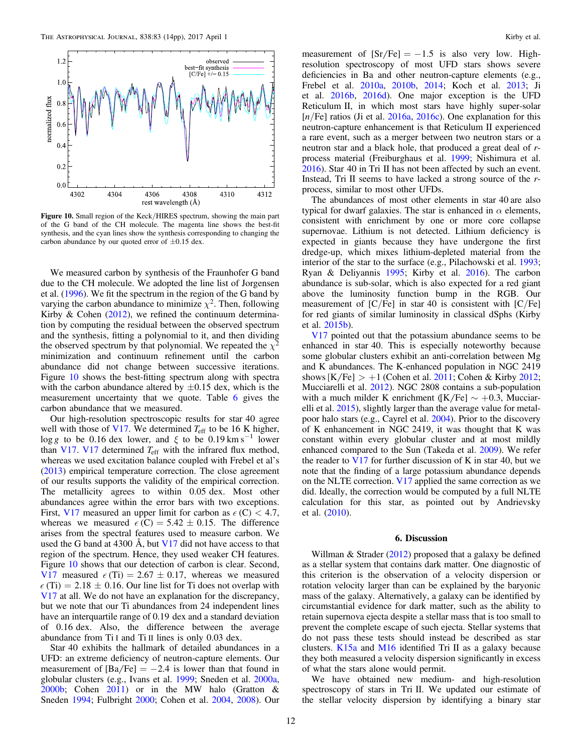<span id="page-11-0"></span>

Figure 10. Small region of the Keck/HIRES spectrum, showing the main part of the G band of the CH molecule. The magenta line shows the best-fit synthesis, and the cyan lines show the synthesis corresponding to changing the carbon abundance by our quoted error of  $\pm 0.15$  dex.

We measured carbon by synthesis of the Fraunhofer G band due to the CH molecule. We adopted the line list of Jorgensen et al. ([1996](#page-12-0)). We fit the spectrum in the region of the G band by varying the carbon abundance to minimize  $\chi^2$ . Then, following Kirby  $\&$  Cohen ([2012](#page-12-0)), we refined the continuum determination by computing the residual between the observed spectrum and the synthesis, fitting a polynomial to it, and then dividing the observed spectrum by that polynomial. We repeated the  $\chi^2$ minimization and continuum refinement until the carbon abundance did not change between successive iterations. Figure 10 shows the best-fitting spectrum along with spectra with the carbon abundance altered by  $\pm 0.15$  dex, which is the measurement uncertainty that we quote. Table [6](#page-10-0) gives the carbon abundance that we measured.

Our high-resolution spectroscopic results for star 40 agree well with those of [V17](#page-13-0). We determined  $T_{\text{eff}}$  to be 16 K higher, log *g* to be 0.16 dex lower, and  $\xi$  to be 0.19 km s<sup>-1</sup> lower than [V17.](#page-13-0) [V17](#page-13-0) determined  $T_{\text{eff}}$  with the infrared flux method, whereas we used excitation balance coupled with Frebel et al's ([2013](#page-12-0)) empirical temperature correction. The close agreement of our results supports the validity of the empirical correction. The metallicity agrees to within 0.05 dex. Most other abundances agree within the error bars with two exceptions. First, [V17](#page-13-0) measured an upper limit for carbon as  $\epsilon$  (C) < 4.7, whereas we measured  $\epsilon$  (C) = 5.42  $\pm$  0.15. The difference arises from the spectral features used to measure carbon. We used the G band at 4300  $\AA$ , but [V17](#page-13-0) did not have access to that region of the spectrum. Hence, they used weaker CH features. Figure 10 shows that our detection of carbon is clear. Second, [V17](#page-13-0) measured  $\epsilon$  (Ti) = 2.67  $\pm$  0.17, whereas we measured  $\epsilon$  (Ti) = 2.18  $\pm$  0.16. Our line list for Ti does not overlap with [V17](#page-13-0) at all. We do not have an explanation for the discrepancy, but we note that our Ti abundances from 24 independent lines have an interquartile range of 0.19 dex and a standard deviation of 0.16 dex. Also, the difference between the average abundance from Ti I and Ti II lines is only 0.03 dex.

Star 40 exhibits the hallmark of detailed abundances in a UFD: an extreme deficiency of neutron-capture elements. Our measurement of  $[Ba/Fe] = -2.4$  is lower than that found in globular clusters (e.g., Ivans et al. [1999;](#page-12-0) Sneden et al. [2000a,](#page-13-0) [2000b;](#page-13-0) Cohen [2011](#page-12-0)) or in the MW halo (Gratton & Sneden [1994;](#page-12-0) Fulbright [2000;](#page-12-0) Cohen et al. [2004,](#page-12-0) [2008](#page-12-0)). Our

measurement of  $[Sr/Fe] = -1.5$  is also very low. Highresolution spectroscopy of most UFD stars shows severe deficiencies in Ba and other neutron-capture elements (e.g., Frebel et al. [2010a](#page-12-0), [2010b](#page-12-0), [2014](#page-12-0); Koch et al. [2013](#page-12-0); Ji et al. [2016b,](#page-12-0) [2016d](#page-12-0)). One major exception is the UFD Reticulum II, in which most stars have highly super-solar  $[n/Fe]$  ratios (Ji et al. [2016a](#page-12-0), [2016c](#page-12-0)). One explanation for this neutron-capture enhancement is that Reticulum II experienced a rare event, such as a merger between two neutron stars or a neutron star and a black hole, that produced a great deal of rprocess material (Freiburghaus et al. [1999](#page-12-0); Nishimura et al. [2016](#page-13-0)). Star 40 in Tri II has not been affected by such an event. Instead, Tri II seems to have lacked a strong source of the rprocess, similar to most other UFDs.

The abundances of most other elements in star 40 are also typical for dwarf galaxies. The star is enhanced in  $\alpha$  elements, consistent with enrichment by one or more core collapse supernovae. Lithium is not detected. Lithium deficiency is expected in giants because they have undergone the first dredge-up, which mixes lithium-depleted material from the interior of the star to the surface (e.g., Pilachowski et al. [1993](#page-13-0); Ryan & Deliyannis [1995;](#page-13-0) Kirby et al. [2016](#page-12-0)). The carbon abundance is sub-solar, which is also expected for a red giant above the luminosity function bump in the RGB. Our measurement of  $[C/Fe]$  in star 40 is consistent with  $[C/Fe]$ for red giants of similar luminosity in classical dSphs (Kirby et al. [2015b](#page-12-0)).

V<sub>17</sub> pointed out that the potassium abundance seems to be enhanced in star 40. This is especially noteworthy because some globular clusters exhibit an anti-correlation between Mg and K abundances. The K-enhanced population in NGC 2419 shows  $[K/Fe] > +1$  (Cohen et al. [2011;](#page-12-0) Cohen & Kirby [2012](#page-12-0); Mucciarelli et al. [2012](#page-13-0)). NGC 2808 contains a sub-population with a much milder K enrichment ( $[K/Fe] \sim +0.3$ , Mucciarelli et al. [2015](#page-13-0)), slightly larger than the average value for metalpoor halo stars (e.g., Cayrel et al. [2004](#page-12-0)). Prior to the discovery of K enhancement in NGC 2419, it was thought that K was constant within every globular cluster and at most mildly enhanced compared to the Sun (Takeda et al. [2009](#page-13-0)). We refer the reader to  $V17$  for further discussion of K in star 40, but we note that the finding of a large potassium abundance depends on the NLTE correction. [V17](#page-13-0) applied the same correction as we did. Ideally, the correction would be computed by a full NLTE calculation for this star, as pointed out by Andrievsky et al. ([2010](#page-12-0)).

# 6. Discussion

Willman & Strader  $(2012)$  $(2012)$  $(2012)$  proposed that a galaxy be defined as a stellar system that contains dark matter. One diagnostic of this criterion is the observation of a velocity dispersion or rotation velocity larger than can be explained by the baryonic mass of the galaxy. Alternatively, a galaxy can be identified by circumstantial evidence for dark matter, such as the ability to retain supernova ejecta despite a stellar mass that is too small to prevent the complete escape of such ejecta. Stellar systems that do not pass these tests should instead be described as star clusters. [K15a](#page-12-0) and [M16](#page-13-0) identified Tri II as a galaxy because they both measured a velocity dispersion significantly in excess of what the stars alone would permit.

We have obtained new medium- and high-resolution spectroscopy of stars in Tri II. We updated our estimate of the stellar velocity dispersion by identifying a binary star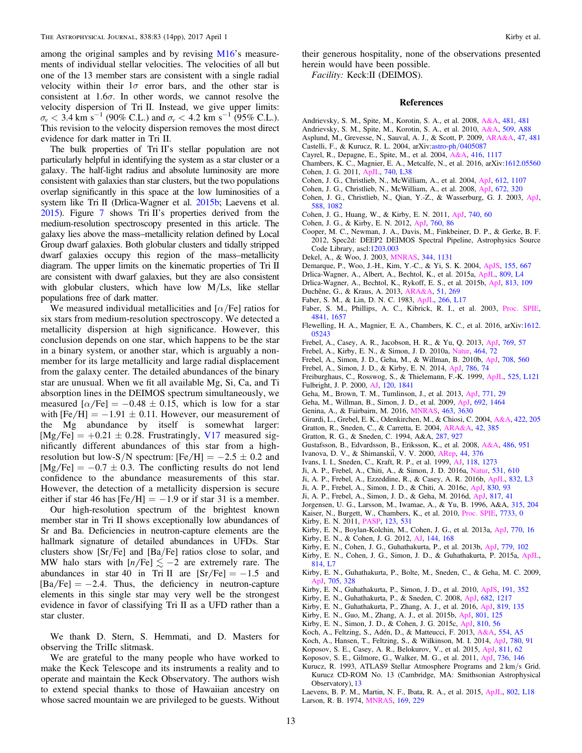<span id="page-12-0"></span>among the original samples and by revising [M16](#page-13-0)'s measurements of individual stellar velocities. The velocities of all but one of the 13 member stars are consistent with a single radial velocity within their  $1\sigma$  error bars, and the other star is consistent at  $1.6\sigma$ . In other words, we cannot resolve the velocity dispersion of Tri II. Instead, we give upper limits:  $\sigma_v$  < 3.4 km s<sup>-1</sup> (90% C.L.) and  $\sigma_v$  < 4.2 km s<sup>-1</sup> (95% C.L.). This revision to the velocity dispersion removes the most direct evidence for dark matter in Tri II.

The bulk properties of Tri II's stellar population are not particularly helpful in identifying the system as a star cluster or a galaxy. The half-light radius and absolute luminosity are more consistent with galaxies than star clusters, but the two populations overlap significantly in this space at the low luminosities of a system like Tri II (Drlica-Wagner et al. 2015b; Laevens et al. 2015). Figure [7](#page-7-0) shows Tri II's properties derived from the medium-resolution spectroscopy presented in this article. The galaxy lies above the mass–metallicity relation defined by Local Group dwarf galaxies. Both globular clusters and tidally stripped dwarf galaxies occupy this region of the mass–metallicity diagram. The upper limits on the kinematic properties of Tri II are consistent with dwarf galaxies, but they are also consistent with globular clusters, which have low M/Ls, like stellar populations free of dark matter.

We measured individual metallicities and  $\lceil \alpha/\text{Fe} \rceil$  ratios for six stars from medium-resolution spectroscopy. We detected a metallicity dispersion at high significance. However, this conclusion depends on one star, which happens to be the star in a binary system, or another star, which is arguably a nonmember for its large metallicity and large radial displacement from the galaxy center. The detailed abundances of the binary star are unusual. When we fit all available Mg, Si, Ca, and Ti absorption lines in the DEIMOS spectrum simultaneously, we measured  $\lceil \alpha/\text{Fe} \rceil = -0.48 \pm 0.15$ , which is low for a star with  $[Fe/H] = -1.91 \pm 0.11$ . However, our measurement of the Mg abundance by itself is somewhat larger:  $[Mg/Fe] = +0.21 \pm 0.28$ . Frustratingly, [V17](#page-13-0) measured significantly different abundances of this star from a highresolution but low-S/N spectrum:  $[Fe/H] = -2.5 \pm 0.2$  and  $[Mg/Fe] = -0.7 \pm 0.3$ . The conflicting results do not lend confidence to the abundance measurements of this star. However, the detection of a metallicity dispersion is secure either if star 46 has  $[Fe/H] = -1.9$  or if star 31 is a member.

Our high-resolution spectrum of the brightest known member star in Tri II shows exceptionally low abundances of Sr and Ba. Deficiencies in neutron-capture elements are the hallmark signature of detailed abundances in UFDs. Star clusters show [Sr/Fe] and [Ba/Fe] ratios close to solar, and MW halo stars with  $[n/Fe] \lesssim -2$  are extremely rare. The abundances in star 40 in Tri II are  $[Sr/Fe] = -1.5$  and  $[Ba/Fe] = -2.4$ . Thus, the deficiency in neutron-capture elements in this single star may very well be the strongest evidence in favor of classifying Tri II as a UFD rather than a star cluster.

We thank D. Stern, S. Hemmati, and D. Masters for observing the TriIIc slitmask.

We are grateful to the many people who have worked to make the Keck Telescope and its instruments a reality and to operate and maintain the Keck Observatory. The authors wish to extend special thanks to those of Hawaiian ancestry on whose sacred mountain we are privileged to be guests. Without

their generous hospitality, none of the observations presented herein would have been possible.

Facility: Keck:II (DEIMOS).

#### References

- Andrievsky, S. M., Spite, M., Korotin, S. A., et al. 2008, [A&A](https://doi.org/10.1051/0004-6361:20078837), [481, 481](http://adsabs.harvard.edu/abs/2008A&A...481..481A)
- Andrievsky, S. M., Spite, M., Korotin, S. A., et al. 2010, [A&A](https://doi.org/10.1051/0004-6361/200913223), [509, A88](http://adsabs.harvard.edu/abs/2010A&A...509A..88A)
- Asplund, M., Grevesse, N., Sauval, A. J., & Scott, P. 2009, [ARA&A](https://doi.org/10.1146/annurev.astro.46.060407.145222), [47, 481](http://adsabs.harvard.edu/abs/2009ARA&A..47..481A)
- Castelli, F., & Kurucz, R. L. 2004, arXiv:astro-ph/[0405087](http://arxiv.org/abs/astro-ph/0405087)
- Cayrel, R., Depagne, E., Spite, M., et al. 2004, [A&A](https://doi.org/10.1051/0004-6361:20034074), [416, 1117](http://adsabs.harvard.edu/abs/2004A&A...416.1117C) Chambers, K. C., Magnier, E. A., Metcalfe, N., et al. 2016, arXiv[:1612.05560](http://arxiv.org/abs/1612.05560)
- Cohen, J. G. 2011, [ApJL,](https://doi.org/10.1088/2041-8205/740/2/L38) [740, L38](http://adsabs.harvard.edu/abs/2011ApJ...740L..38C)
- Cohen, J. G., Christlieb, N., McWilliam, A., et al. 2004, [ApJ,](https://doi.org/10.1086/422576) [612, 1107](http://adsabs.harvard.edu/abs/2004ApJ...612.1107C)
- Cohen, J. G., Christlieb, N., McWilliam, A., et al. 2008, [ApJ,](https://doi.org/10.1086/523638) [672, 320](http://adsabs.harvard.edu/abs/2008ApJ...672..320C)
- Cohen, J. G., Christlieb, N., Qian, Y.-Z., & Wasserburg, G. J. 2003, [ApJ](https://doi.org/10.1086/374269)[,](http://adsabs.harvard.edu/abs/2003ApJ...588.1082C) [588, 1082](http://adsabs.harvard.edu/abs/2003ApJ...588.1082C)
- Cohen, J. G., Huang, W., & Kirby, E. N. 2011, [ApJ](https://doi.org/10.1088/0004-637X/740/2/60), [740, 60](http://adsabs.harvard.edu/abs/2011ApJ...740...60C)
- Cohen, J. G., & Kirby, E. N. 2012, [ApJ](https://doi.org/10.1088/0004-637X/760/1/86), [760, 86](http://adsabs.harvard.edu/abs/2012ApJ...760...86C)
- Cooper, M. C., Newman, J. A., Davis, M., Finkbeiner, D. P., & Gerke, B. F. 2012, Spec2d: DEEP2 DEIMOS Spectral Pipeline, Astrophysics Source Code Library, ascl:[1203.003](http://www.ascl.net/1203.003)
- Dekel, A., & Woo, J. 2003, [MNRAS](https://doi.org/10.1046/j.1365-8711.2003.06923.x), [344, 1131](http://adsabs.harvard.edu/abs/2003MNRAS.344.1131D)
- Demarque, P., Woo, J.-H., Kim, Y.-C., & Yi, S. K. 2004, [ApJS](https://doi.org/10.1086/424966), [155, 667](http://adsabs.harvard.edu/abs/2004ApJS..155..667D)
- Drlica-Wagner, A., Albert, A., Bechtol, K., et al. 2015a, [ApJL](https://doi.org/10.1088/2041-8205/809/1/L4), [809, L4](http://adsabs.harvard.edu/abs/2015ApJ...809L...4D)
- Drlica-Wagner, A., Bechtol, K., Rykoff, E. S., et al. 2015b, [ApJ](https://doi.org/10.1088/0004-637X/813/2/109), [813, 109](http://adsabs.harvard.edu/abs/2015ApJ...813..109D)
- Duchêne, G., & Kraus, A. 2013, [ARA&A,](https://doi.org/10.1146/annurev-astro-081710-102602) [51, 269](http://adsabs.harvard.edu/abs/2013ARA&A..51..269D)
- Faber, S. M., & Lin, D. N. C. 1983, [ApJL,](https://doi.org/10.1086/183970) [266, L17](http://adsabs.harvard.edu/abs/1983ApJ...266L..17F)
- Faber, S. M., Phillips, A. C., Kibrick, R. I., et al. 2003, [Proc. SPIE](https://doi.org/10.1117/12.460346)[,](http://adsabs.harvard.edu/abs/2003SPIE.4841.1657F) [4841, 1657](http://adsabs.harvard.edu/abs/2003SPIE.4841.1657F)
- Flewelling, H. A., Magnier, E. A., Chambers, K. C., et al. 2016, arXiv:[1612.](http://arxiv.org/abs/1612.05243) [05243](http://arxiv.org/abs/1612.05243)
- Frebel, A., Casey, A. R., Jacobson, H. R., & Yu, Q. 2013, [ApJ](https://doi.org/10.1088/0004-637X/769/1/57), [769, 57](http://adsabs.harvard.edu/abs/2013ApJ...769...57F)
- Frebel, A., Kirby, E. N., & Simon, J. D. 2010a, [Natur](https://doi.org/10.1038/nature08772), [464, 72](http://adsabs.harvard.edu/abs/2010Natur.464...72F)
- Frebel, A., Simon, J. D., Geha, M., & Willman, B. 2010b, [ApJ,](https://doi.org/10.1088/0004-637X/708/1/560) [708, 560](http://adsabs.harvard.edu/abs/2010ApJ...708..560F)
- Frebel, A., Simon, J. D., & Kirby, E. N. 2014, [ApJ,](https://doi.org/10.1088/0004-637X/786/1/74) [786, 74](http://adsabs.harvard.edu/abs/2014ApJ...786...74F)
- Freiburghaus, C., Rosswog, S., & Thielemann, F.-K. 1999, [ApJL,](https://doi.org/10.1086/312343) [525, L121](http://adsabs.harvard.edu/abs/1999ApJ...525L.121F) Fulbright, J. P. 2000, [AJ](https://doi.org/10.1086/301548), [120, 1841](http://adsabs.harvard.edu/abs/2000AJ....120.1841F)
- Geha, M., Brown, T. M., Tumlinson, J., et al. 2013, [ApJ,](https://doi.org/10.1088/0004-637X/771/1/29) [771, 29](http://adsabs.harvard.edu/abs/2013ApJ...771...29G)
- Geha, M., Willman, B., Simon, J. D., et al. 2009, [ApJ](https://doi.org/10.1088/0004-637X/692/2/1464), [692, 1464](http://adsabs.harvard.edu/abs/2009ApJ...692.1464G)
- Genina, A., & Fairbairn, M. 2016, [MNRAS,](https://doi.org/10.1093/mnras/stw2284) [463, 3630](http://adsabs.harvard.edu/abs/2016MNRAS.463.3630G)
- Girardi, L., Grebel, E. K., Odenkirchen, M., & Chiosi, C. 2004, [A&A](https://doi.org/10.1051/0004-6361:20040250), [422, 205](http://adsabs.harvard.edu/abs/2004A&A...422..205G)
- Gratton, R., Sneden, C., & Carretta, E. 2004, [ARA&A,](https://doi.org/10.1146/annurev.astro.42.053102.133945) [42, 385](http://adsabs.harvard.edu/abs/2004ARA&A..42..385G)
- Gratton, R. G., & Sneden, C. 1994, A&A, [287, 927](http://adsabs.harvard.edu/abs/1994A&A...287..927G)
- Gustafsson, B., Edvardsson, B., Eriksson, K., et al. 2008, [A&A,](https://doi.org/10.1051/0004-6361:200809724) [486, 951](http://adsabs.harvard.edu/abs/2008A&A...486..951G)
- Ivanova, D. V., & Shimanskiĭ , V. V. 2000, [ARep,](https://doi.org/10.1134/1.163861) [44, 376](http://adsabs.harvard.edu/abs/2000ARep...44..376I)
- Ivans, I. I., Sneden, C., Kraft, R. P., et al. 1999, [AJ](https://doi.org/10.1086/301017), [118, 1273](http://adsabs.harvard.edu/abs/1999AJ....118.1273I)
- Ji, A. P., Frebel, A., Chiti, A., & Simon, J. D. 2016a, [Natur](https://doi.org/10.1038/nature17425), [531, 610](http://adsabs.harvard.edu/abs/2016Natur.531..610J)
- Ji, A. P., Frebel, A., Ezzeddine, R., & Casey, A. R. 2016b, [ApJL](https://doi.org/10.3847/2041-8205/832/1/L3), [832, L3](http://adsabs.harvard.edu/abs/2016ApJ...832L...3J)
- Ji, A. P., Frebel, A., Simon, J. D., & Chiti, A. 2016c, [ApJ](https://doi.org/10.3847/0004-637X/830/2/93), [830, 93](http://adsabs.harvard.edu/abs/2016ApJ...830...93J)
- Ji, A. P., Frebel, A., Simon, J. D., & Geha, M. 2016d, [ApJ,](https://doi.org/10.3847/0004-637X/817/1/41) [817, 41](http://adsabs.harvard.edu/abs/2016ApJ...817...41J)
- Jorgensen, U. G., Larsson, M., Iwamae, A., & Yu, B. 1996, A&A, [315, 204](http://adsabs.harvard.edu/abs/1996A&A...315..204J)
- 
- 
- Kirby, E. N., Boylan-Kolchin, M., Cohen, J. G., et al. 2013a, [ApJ](https://doi.org/10.1088/0004-637X/770/1/16), [770, 16](http://adsabs.harvard.edu/abs/2013ApJ...770...16K)
- Kirby, E. N., & Cohen, J. G. 2012, [AJ,](https://doi.org/10.1088/0004-6256/144/6/168) [144, 168](http://adsabs.harvard.edu/abs/2012AJ....144..168K)
- Kirby, E. N., Cohen, J. G., Guhathakurta, P., et al. 2013b, [ApJ,](https://doi.org/10.1088/0004-637X/779/2/102) [779, 102](http://adsabs.harvard.edu/abs/2013ApJ...779..102K)
- Kirby, E. N., Cohen, J. G., Simon, J. D., & Guhathakurta, P. 2015a, [ApJL](https://doi.org/10.1088/2041-8205/814/1/L7)[,](http://adsabs.harvard.edu/abs/2015ApJ...814L...7K) [814, L7](http://adsabs.harvard.edu/abs/2015ApJ...814L...7K)
- Kirby, E. N., Guhathakurta, P., Bolte, M., Sneden, C., & Geha, M. C. 2009, [ApJ,](https://doi.org/10.1088/0004-637X/705/1/328) [705, 328](http://adsabs.harvard.edu/abs/2009ApJ...705..328K)
- Kirby, E. N., Guhathakurta, P., Simon, J. D., et al. 2010, [ApJS](https://doi.org/10.1088/0067-0049/191/2/352), [191, 352](http://adsabs.harvard.edu/abs/2010ApJS..191..352K)
- Kirby, E. N., Guhathakurta, P., & Sneden, C. 2008, [ApJ,](https://doi.org/10.1086/589627) [682, 1217](http://adsabs.harvard.edu/abs/2008ApJ...682.1217K)
- Kirby, E. N., Guhathakurta, P., Zhang, A. J., et al. 2016, [ApJ,](https://doi.org/10.3847/0004-637X/819/2/135) [819, 135](http://adsabs.harvard.edu/abs/2016ApJ...819..135K)
- Kirby, E. N., Guo, M., Zhang, A. J., et al. 2015b, [ApJ,](https://doi.org/10.1088/0004-637X/801/2/125) [801, 125](http://adsabs.harvard.edu/abs/2015ApJ...801..125K)
- Kirby, E. N., Simon, J. D., & Cohen, J. G. 2015c, [ApJ](https://doi.org/10.1088/0004-637X/810/1/56), [810, 56](http://adsabs.harvard.edu/abs/2015ApJ...810...56K)
- Koch, A., Feltzing, S., Adén, D., & Matteucci, F. 2013, [A&A,](https://doi.org/10.1051/0004-6361/201220742) [554, A5](http://adsabs.harvard.edu/abs/2013A&A...554A...5K)
- Koch, A., Hansen, T., Feltzing, S., & Wilkinson, M. I. 2014, [ApJ](https://doi.org/10.1088/0004-637X/780/1/91), [780, 91](http://adsabs.harvard.edu/abs/2014ApJ...780...91K)
- Koposov, S. E., Casey, A. R., Belokurov, V., et al. 2015, [ApJ,](https://doi.org/10.1088/0004-637X/811/1/62) [811, 62](http://adsabs.harvard.edu/abs/2015ApJ...811...62K)
- Koposov, S. E., Gilmore, G., Walker, M. G., et al. 2011, [ApJ,](https://doi.org/10.1088/0004-637X/736/2/146) [736, 146](http://adsabs.harvard.edu/abs/2011ApJ...736..146K)
- Kurucz, R. 1993, ATLAS9 Stellar Atmosphere Programs and 2 km/s Grid. Kurucz CD-ROM No. 13 (Cambridge, MA: Smithsonian Astrophysical Observatory), [13](http://adsabs.harvard.edu/abs/1993sssp.book.....K)
- Laevens, B. P. M., Martin, N. F., Ibata, R. A., et al. 2015, [ApJL,](https://doi.org/10.1088/2041-8205/802/2/L18) [802, L18](http://adsabs.harvard.edu/abs/2015ApJ...802L..18L) Larson, R. B. 1974, [MNRAS](https://doi.org/10.1093/mnras/169.2.229), [169, 229](http://adsabs.harvard.edu/abs/1974MNRAS.169..229L)
- Kaiser, N., Burgett, W., Chambers, K., et al. 2010, [Proc. SPIE](https://doi.org/10.1117/12.859188), [7733, 0](http://adsabs.harvard.edu/abs/2010SPIE.7733E..0EK)
	- Kirby, E. N. 2011, [PASP](https://doi.org/10.1086/660019), [123, 531](http://adsabs.harvard.edu/abs/2011PASP..123..531K)